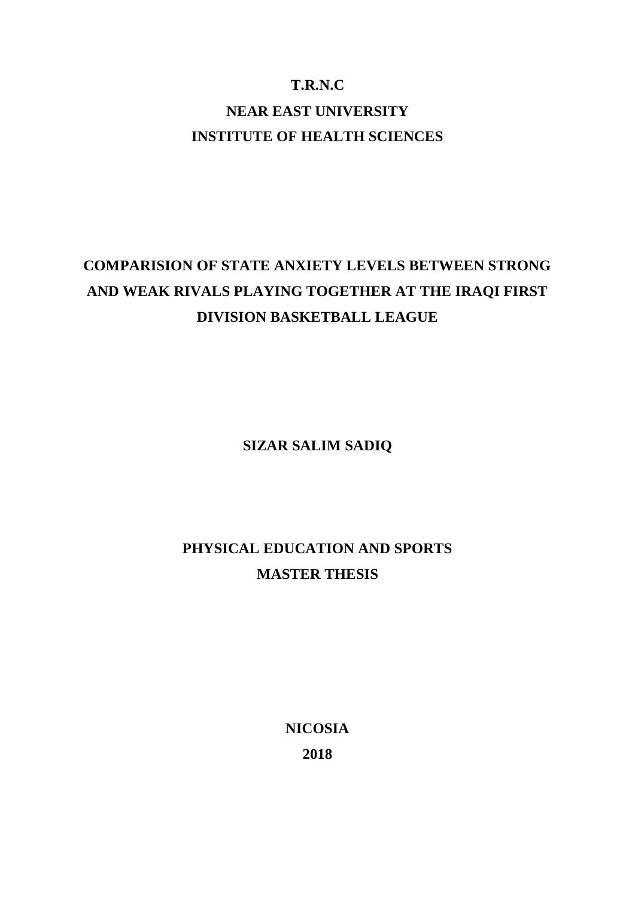# **T.R.N.C NEAR EAST UNIVERSITY INSTITUTE OF HEALTH SCIENCES**

# **COMPARISION OF STATE ANXIETY LEVELS BETWEEN STRONG AND WEAK RIVALS PLAYING TOGETHER AT THE IRAQI FIRST DIVISION BASKETBALL LEAGUE**

**SIZAR SALIM SADIQ**

# **PHYSICAL EDUCATION AND SPORTS MASTER THESIS**

**NICOSIA 2018**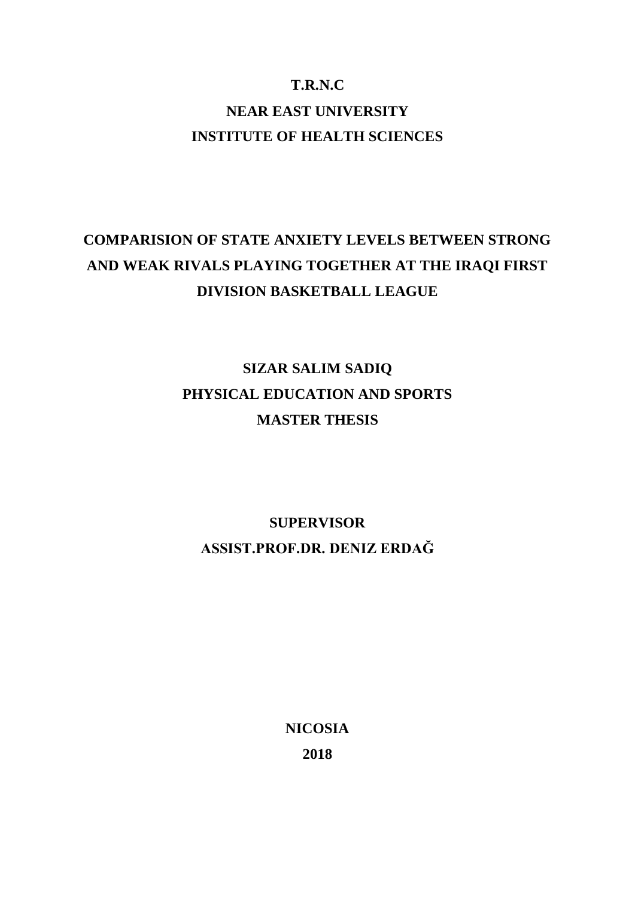# **T.R.N.C NEAR EAST UNIVERSITY INSTITUTE OF HEALTH SCIENCES**

# **COMPARISION OF STATE ANXIETY LEVELS BETWEEN STRONG AND WEAK RIVALS PLAYING TOGETHER AT THE IRAQI FIRST DIVISION BASKETBALL LEAGUE**

# **SIZAR SALIM SADIQ PHYSICAL EDUCATION AND SPORTS MASTER THESIS**

# **SUPERVISOR ASSIST.PROF.DR. DENIZ ERDAĞ**

**NICOSIA 2018**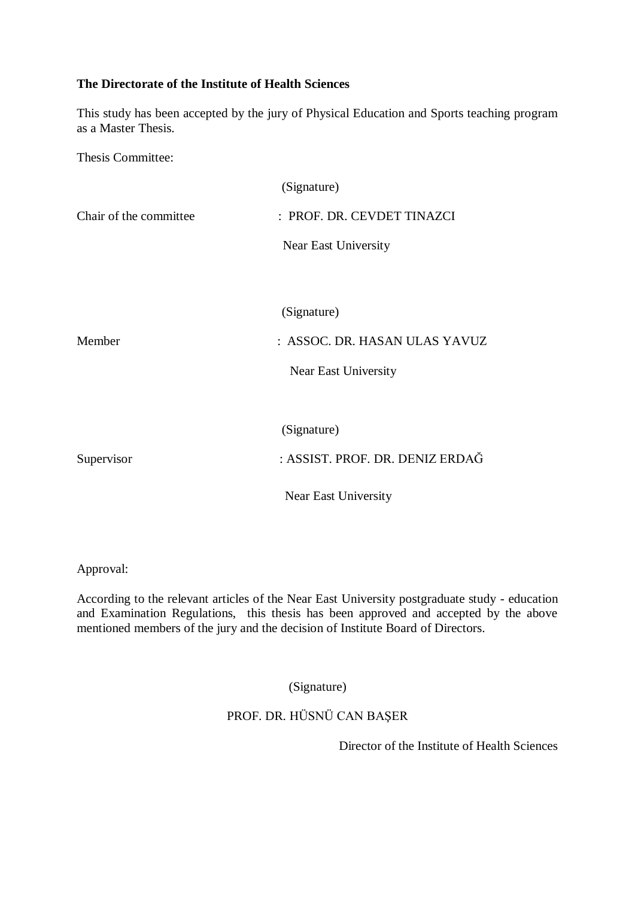# **The Directorate of the Institute of Health Sciences**

This study has been accepted by the jury of Physical Education and Sports teaching program as a Master Thesis.

Thesis Committee:

|                        | (Signature)                     |
|------------------------|---------------------------------|
| Chair of the committee | : PROF. DR. CEVDET TINAZCI      |
|                        | Near East University            |
|                        |                                 |
|                        | (Signature)                     |
| Member                 | : ASSOC. DR. HASAN ULAS YAVUZ   |
|                        | Near East University            |
|                        |                                 |
|                        | (Signature)                     |
| Supervisor             | : ASSIST. PROF. DR. DENIZ ERDAĞ |
|                        | Near East University            |

Approval:

According to the relevant articles of the Near East University postgraduate study - education and Examination Regulations, this thesis has been approved and accepted by the above mentioned members of the jury and the decision of Institute Board of Directors.

(Signature)

# PROF. DR. HÜSNÜ CAN BAŞER

Director of the Institute of Health Sciences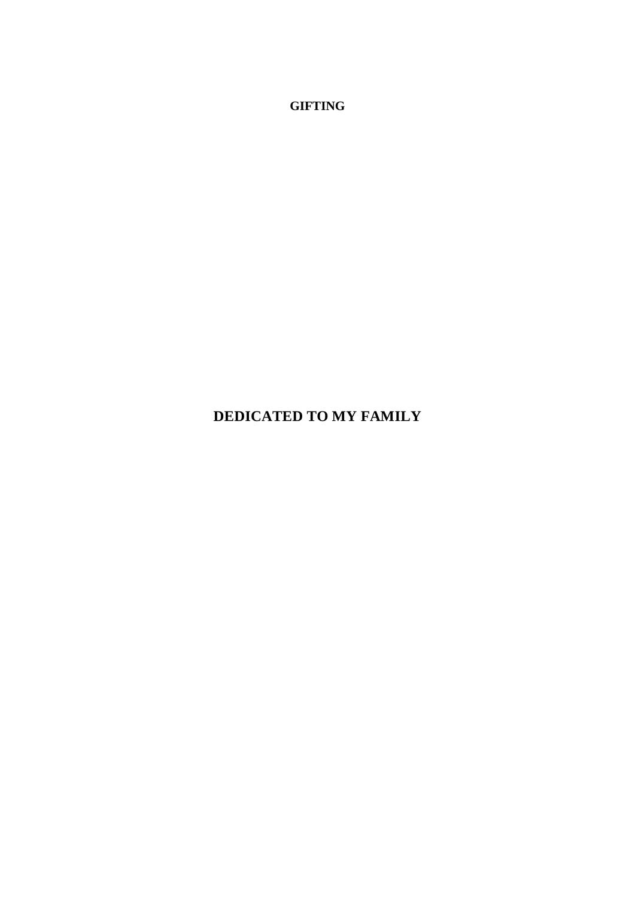**GIFTING**

# **DEDICATED TO MY FAMILY**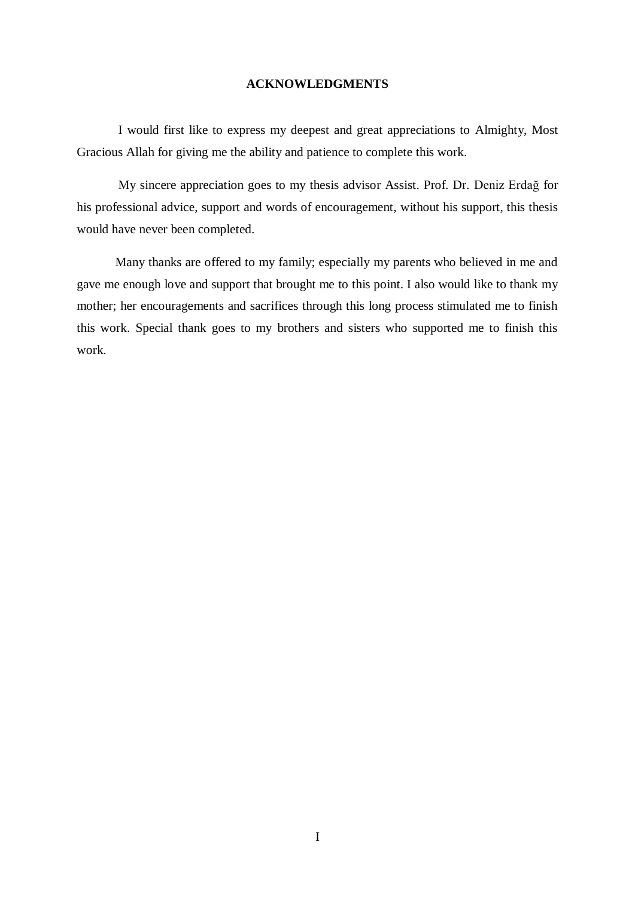# **ACKNOWLEDGMENTS**

<span id="page-5-0"></span>I would first like to express my deepest and great appreciations to Almighty, Most Gracious Allah for giving me the ability and patience to complete this work.

My sincere appreciation goes to my thesis advisor Assist. Prof. Dr. Deniz Erdağ for his professional advice, support and words of encouragement, without his support, this thesis would have never been completed.

Many thanks are offered to my family; especially my parents who believed in me and gave me enough love and support that brought me to this point. I also would like to thank my mother; her encouragements and sacrifices through this long process stimulated me to finish this work. Special thank goes to my brothers and sisters who supported me to finish this work.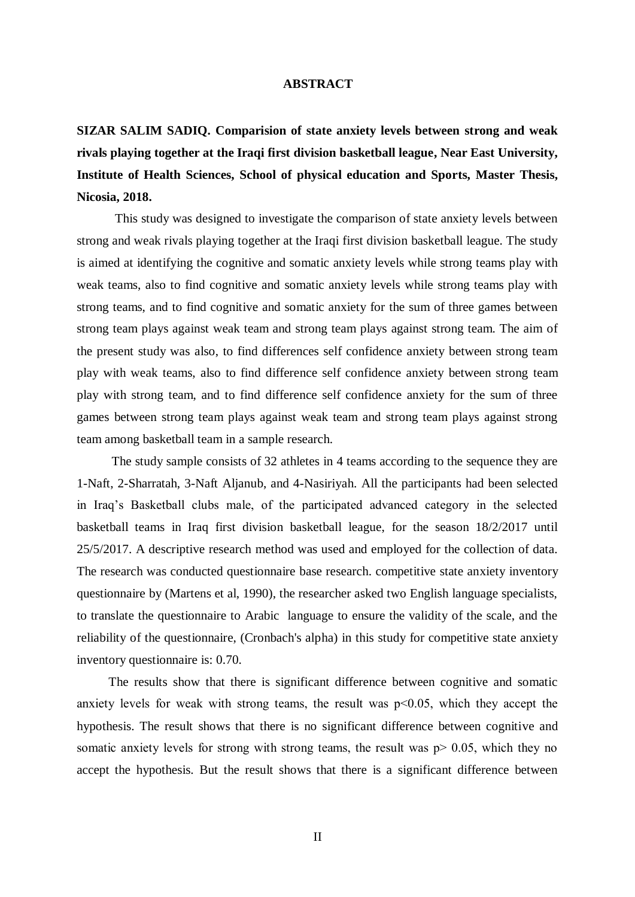## <span id="page-6-0"></span>**ABSTRACT**

**SIZAR SALIM SADIQ. Comparision of state anxiety levels between strong and weak rivals playing together at the Iraqi first division basketball league, Near East University, Institute of Health Sciences, School of physical education and Sports, Master Thesis, Nicosia, 2018.**

 This study was designed to investigate the comparison of state anxiety levels between strong and weak rivals playing together at the Iraqi first division basketball league. The study is aimed at identifying the cognitive and somatic anxiety levels while strong teams play with weak teams, also to find cognitive and somatic anxiety levels while strong teams play with strong teams, and to find cognitive and somatic anxiety for the sum of three games between strong team plays against weak team and strong team plays against strong team. The aim of the present study was also, to find differences self confidence anxiety between strong team play with weak teams, also to find difference self confidence anxiety between strong team play with strong team, and to find difference self confidence anxiety for the sum of three games between strong team plays against weak team and strong team plays against strong team among basketball team in a sample research.

 The study sample consists of 32 athletes in 4 teams according to the sequence they are 1-Naft, 2-Sharratah, 3-Naft Aljanub, and 4-Nasiriyah. All the participants had been selected in Iraq's Basketball clubs male, of the participated advanced category in the selected basketball teams in Iraq first division basketball league, for the season 18/2/2017 until 25/5/2017. A descriptive research method was used and employed for the collection of data. The research was conducted questionnaire base research. competitive state anxiety inventory questionnaire by (Martens et al, 1990), the researcher asked two English language specialists, to translate the questionnaire to Arabic language to ensure the validity of the scale, and the reliability of the questionnaire, (Cronbach's alpha) in this study for competitive state anxiety inventory questionnaire is: 0.70.

 The results show that there is significant difference between cognitive and somatic anxiety levels for weak with strong teams, the result was p˂0.05, which they accept the hypothesis. The result shows that there is no significant difference between cognitive and somatic anxiety levels for strong with strong teams, the result was  $p > 0.05$ , which they no accept the hypothesis. But the result shows that there is a significant difference between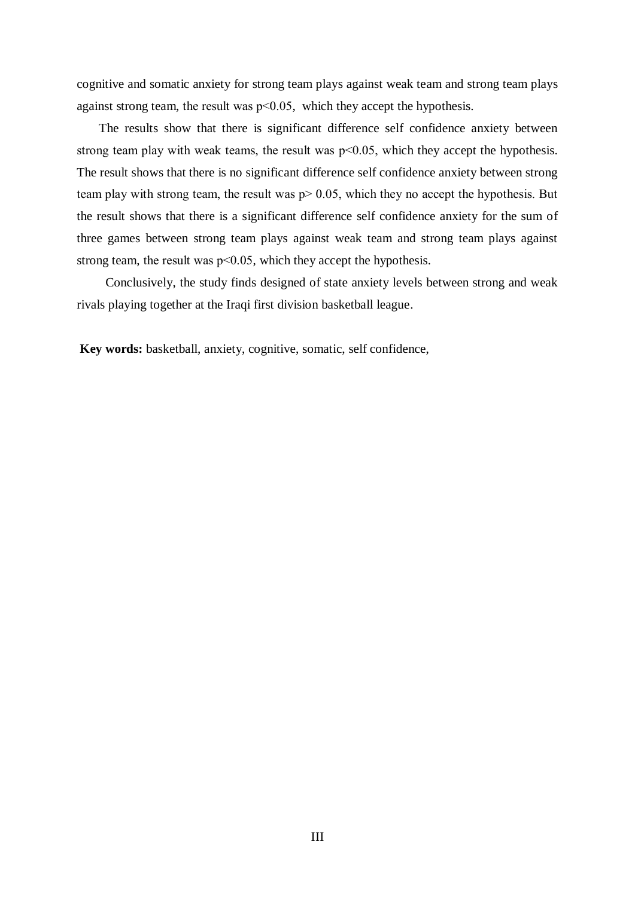cognitive and somatic anxiety for strong team plays against weak team and strong team plays against strong team, the result was p˂0.05, which they accept the hypothesis.

 The results show that there is significant difference self confidence anxiety between strong team play with weak teams, the result was  $p<0.05$ , which they accept the hypothesis. The result shows that there is no significant difference self confidence anxiety between strong team play with strong team, the result was  $p > 0.05$ , which they no accept the hypothesis. But the result shows that there is a significant difference self confidence anxiety for the sum of three games between strong team plays against weak team and strong team plays against strong team, the result was  $p<0.05$ , which they accept the hypothesis.

 Conclusively, the study finds designed of state anxiety levels between strong and weak rivals playing together at the Iraqi first division basketball league.

**Key words:** basketball, anxiety, cognitive, somatic, self confidence,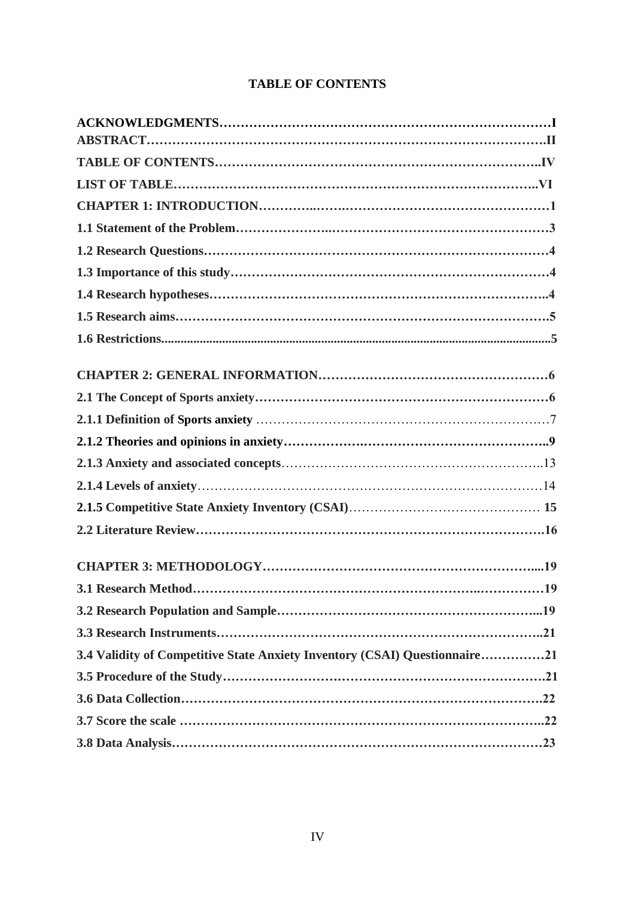# **TABLE OF CONTENTS**

<span id="page-8-0"></span>

| 3.4 Validity of Competitive State Anxiety Inventory (CSAI) Questionnaire21 |
|----------------------------------------------------------------------------|
|                                                                            |
|                                                                            |
|                                                                            |
|                                                                            |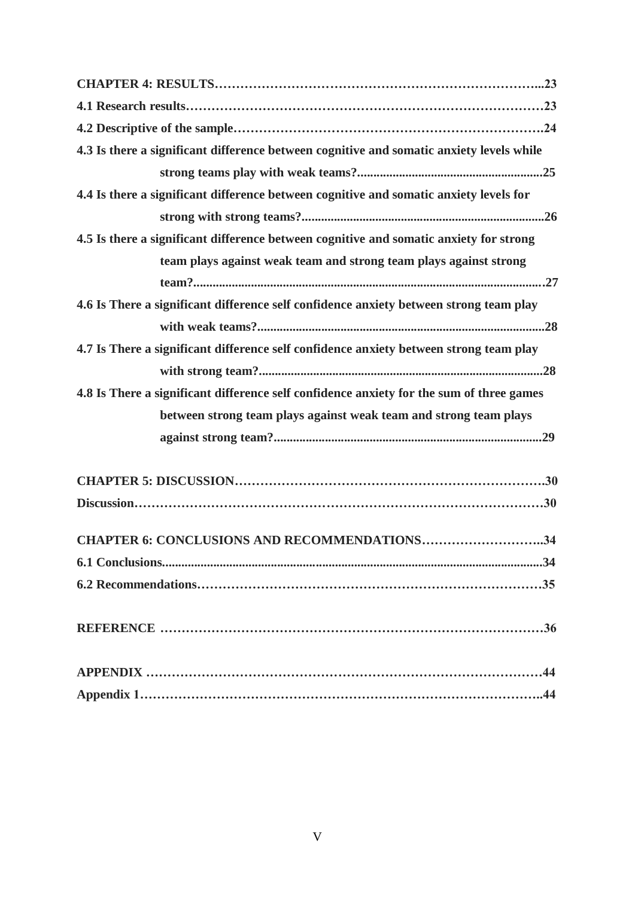| 4.3 Is there a significant difference between cognitive and somatic anxiety levels while |  |
|------------------------------------------------------------------------------------------|--|
|                                                                                          |  |
| 4.4 Is there a significant difference between cognitive and somatic anxiety levels for   |  |
|                                                                                          |  |
| 4.5 Is there a significant difference between cognitive and somatic anxiety for strong   |  |
| team plays against weak team and strong team plays against strong                        |  |
|                                                                                          |  |
| 4.6 Is There a significant difference self confidence anxiety between strong team play   |  |
|                                                                                          |  |
| 4.7 Is There a significant difference self confidence anxiety between strong team play   |  |
|                                                                                          |  |
| 4.8 Is There a significant difference self confidence anxiety for the sum of three games |  |
| between strong team plays against weak team and strong team plays                        |  |
|                                                                                          |  |
|                                                                                          |  |
|                                                                                          |  |
| CHAPTER 6: CONCLUSIONS AND RECOMMENDATIONS34                                             |  |
|                                                                                          |  |
|                                                                                          |  |
|                                                                                          |  |
|                                                                                          |  |
|                                                                                          |  |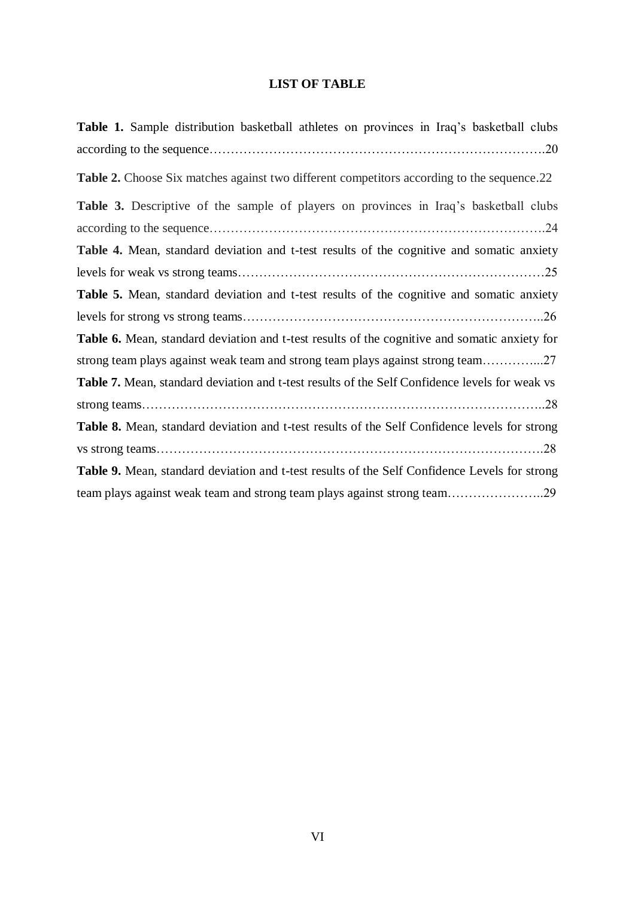# **LIST OF TABLE**

| <b>Table 1.</b> Sample distribution basketball athletes on provinces in Iraq's basketball clubs       |
|-------------------------------------------------------------------------------------------------------|
|                                                                                                       |
| Table 2. Choose Six matches against two different competitors according to the sequence.22            |
| <b>Table 3.</b> Descriptive of the sample of players on provinces in Iraq's basketball clubs          |
|                                                                                                       |
| Table 4. Mean, standard deviation and t-test results of the cognitive and somatic anxiety             |
|                                                                                                       |
| Table 5. Mean, standard deviation and t-test results of the cognitive and somatic anxiety             |
|                                                                                                       |
| Table 6. Mean, standard deviation and t-test results of the cognitive and somatic anxiety for         |
| strong team plays against weak team and strong team plays against strong team27                       |
| <b>Table 7.</b> Mean, standard deviation and t-test results of the Self Confidence levels for weak vs |
|                                                                                                       |
| Table 8. Mean, standard deviation and t-test results of the Self Confidence levels for strong         |
|                                                                                                       |
| Table 9. Mean, standard deviation and t-test results of the Self Confidence Levels for strong         |
| team plays against weak team and strong team plays against strong team29                              |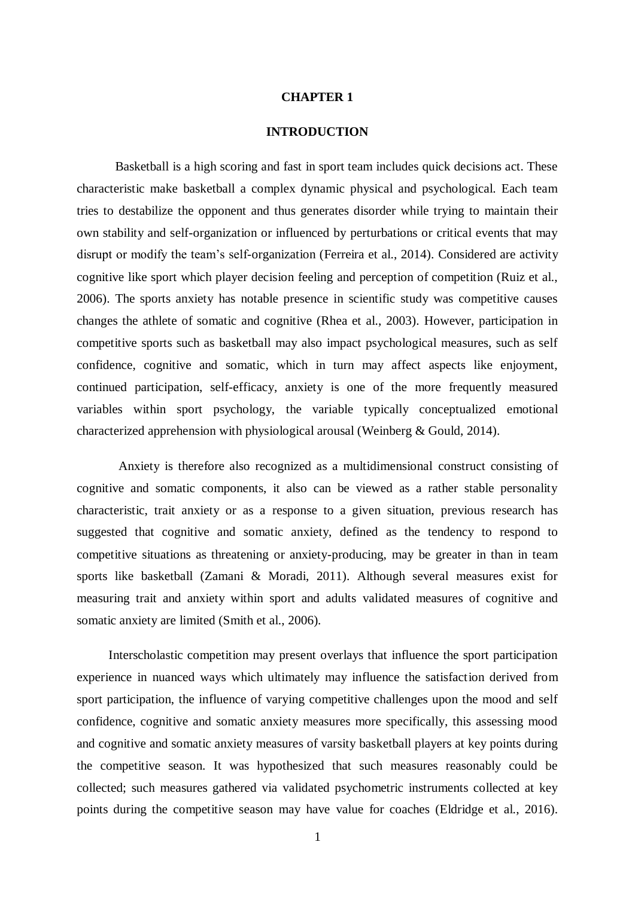# **CHAPTER 1**

# **INTRODUCTION**

<span id="page-11-0"></span>Basketball is a high scoring and fast in sport team includes quick decisions act. These characteristic make basketball a complex dynamic physical and psychological. Each team tries to destabilize the opponent and thus generates disorder while trying to maintain their own stability and self-organization or influenced by perturbations or critical events that may disrupt or modify the team's self-organization (Ferreira et al., 2014). Considered are activity cognitive like sport which player decision feeling and perception of competition (Ruiz et al., 2006). The sports anxiety has notable presence in scientific study was competitive causes changes the athlete of somatic and cognitive (Rhea et al., 2003). However, participation in competitive sports such as basketball may also impact psychological measures, such as self confidence, cognitive and somatic, which in turn may affect aspects like enjoyment, continued participation, self-efficacy, anxiety is one of the more frequently measured variables within sport psychology, the variable typically conceptualized emotional characterized apprehension with physiological arousal (Weinberg & Gould, 2014).

Anxiety is therefore also recognized as a multidimensional construct consisting of cognitive and somatic components, it also can be viewed as a rather stable personality characteristic, trait anxiety or as a response to a given situation, previous research has suggested that cognitive and somatic anxiety, defined as the tendency to respond to competitive situations as threatening or anxiety-producing, may be greater in than in team sports like basketball (Zamani & Moradi, 2011). Although several measures exist for measuring trait and anxiety within sport and adults validated measures of cognitive and somatic anxiety are limited (Smith et al., 2006).

 Interscholastic competition may present overlays that influence the sport participation experience in nuanced ways which ultimately may influence the satisfaction derived from sport participation, the influence of varying competitive challenges upon the mood and self confidence, cognitive and somatic anxiety measures more specifically, this assessing mood and cognitive and somatic anxiety measures of varsity basketball players at key points during the competitive season. It was hypothesized that such measures reasonably could be collected; such measures gathered via validated psychometric instruments collected at key points during the competitive season may have value for coaches (Eldridge et al., 2016).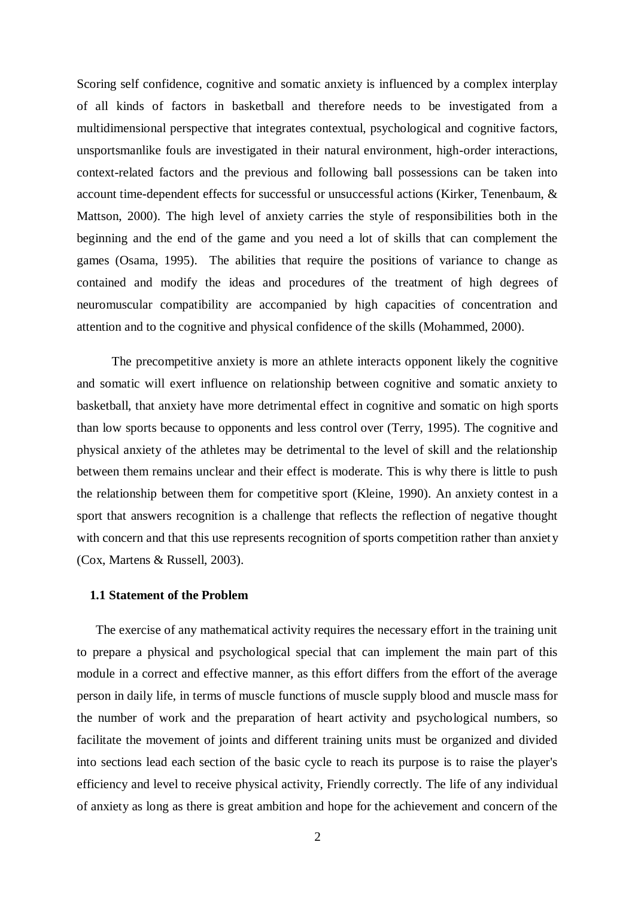Scoring self confidence, cognitive and somatic anxiety is influenced by a complex interplay of all kinds of factors in basketball and therefore needs to be investigated from a multidimensional perspective that integrates contextual, psychological and cognitive factors, unsportsmanlike fouls are investigated in their natural environment, high-order interactions, context-related factors and the previous and following ball possessions can be taken into account time-dependent effects for successful or unsuccessful actions (Kirker, Tenenbaum, & Mattson, 2000). The high level of anxiety carries the style of responsibilities both in the beginning and the end of the game and you need a lot of skills that can complement the games (Osama, 1995). The abilities that require the positions of variance to change as contained and modify the ideas and procedures of the treatment of high degrees of neuromuscular compatibility are accompanied by high capacities of concentration and attention and to the cognitive and physical confidence of the skills (Mohammed, 2000).

 The precompetitive anxiety is more an athlete interacts opponent likely the cognitive and somatic will exert influence on relationship between cognitive and somatic anxiety to basketball, that anxiety have more detrimental effect in cognitive and somatic on high sports than low sports because to opponents and less control over (Terry, 1995). The cognitive and physical anxiety of the athletes may be detrimental to the level of skill and the relationship between them remains unclear and their effect is moderate. This is why there is little to push the relationship between them for competitive sport (Kleine, 1990). An anxiety contest in a sport that answers recognition is a challenge that reflects the reflection of negative thought with concern and that this use represents recognition of sports competition rather than anxiety (Cox, Martens & Russell, 2003).

#### **1.1 Statement of the Problem**

 The exercise of any mathematical activity requires the necessary effort in the training unit to prepare a physical and psychological special that can implement the main part of this module in a correct and effective manner, as this effort differs from the effort of the average person in daily life, in terms of muscle functions of muscle supply blood and muscle mass for the number of work and the preparation of heart activity and psychological numbers, so facilitate the movement of joints and different training units must be organized and divided into sections lead each section of the basic cycle to reach its purpose is to raise the player's efficiency and level to receive physical activity, Friendly correctly. The life of any individual of anxiety as long as there is great ambition and hope for the achievement and concern of the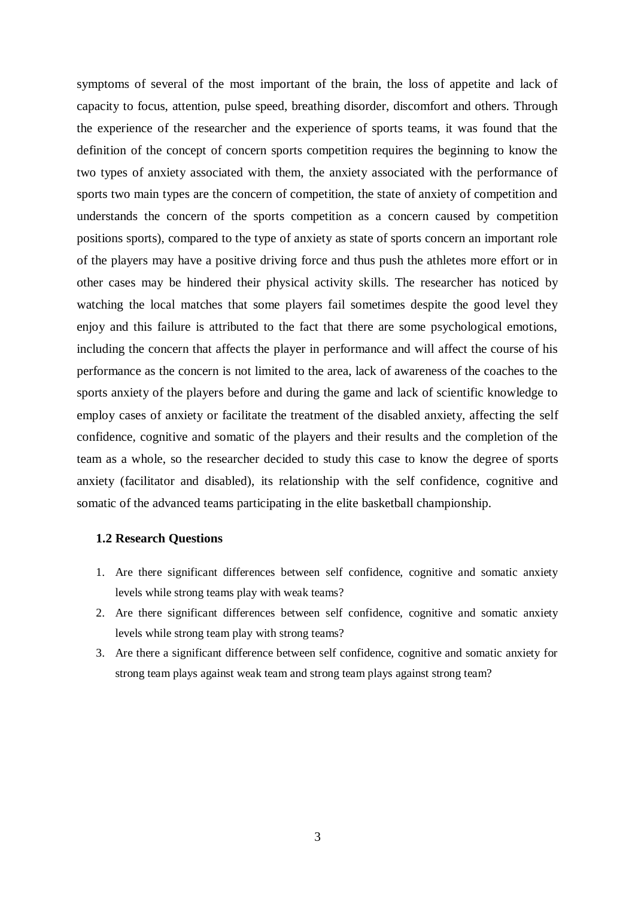symptoms of several of the most important of the brain, the loss of appetite and lack of capacity to focus, attention, pulse speed, breathing disorder, discomfort and others. Through the experience of the researcher and the experience of sports teams, it was found that the definition of the concept of concern sports competition requires the beginning to know the two types of anxiety associated with them, the anxiety associated with the performance of sports two main types are the concern of competition, the state of anxiety of competition and understands the concern of the sports competition as a concern caused by competition positions sports), compared to the type of anxiety as state of sports concern an important role of the players may have a positive driving force and thus push the athletes more effort or in other cases may be hindered their physical activity skills. The researcher has noticed by watching the local matches that some players fail sometimes despite the good level they enjoy and this failure is attributed to the fact that there are some psychological emotions, including the concern that affects the player in performance and will affect the course of his performance as the concern is not limited to the area, lack of awareness of the coaches to the sports anxiety of the players before and during the game and lack of scientific knowledge to employ cases of anxiety or facilitate the treatment of the disabled anxiety, affecting the self confidence, cognitive and somatic of the players and their results and the completion of the team as a whole, so the researcher decided to study this case to know the degree of sports anxiety (facilitator and disabled), its relationship with the self confidence, cognitive and somatic of the advanced teams participating in the elite basketball championship.

## **1.2 Research Questions**

- 1. Are there significant differences between self confidence, cognitive and somatic anxiety levels while strong teams play with weak teams?
- 2. Are there significant differences between self confidence, cognitive and somatic anxiety levels while strong team play with strong teams?
- 3. Are there a significant difference between self confidence, cognitive and somatic anxiety for strong team plays against weak team and strong team plays against strong team?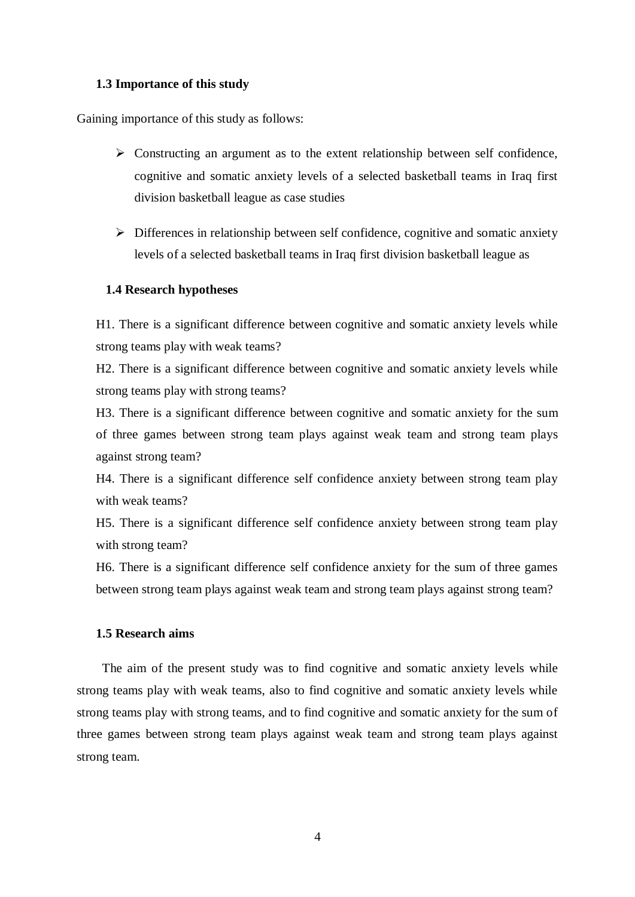# **1.3 Importance of this study**

<span id="page-14-0"></span>Gaining importance of this study as follows:

- $\triangleright$  Constructing an argument as to the extent relationship between self confidence, cognitive and somatic anxiety levels of a selected basketball teams in Iraq first division basketball league as case studies
- $\triangleright$  Differences in relationship between self confidence, cognitive and somatic anxiety levels of a selected basketball teams in Iraq first division basketball league as

# **1.4 Research hypotheses**

H1. There is a significant difference between cognitive and somatic anxiety levels while strong teams play with weak teams?

H2. There is a significant difference between cognitive and somatic anxiety levels while strong teams play with strong teams?

H3. There is a significant difference between cognitive and somatic anxiety for the sum of three games between strong team plays against weak team and strong team plays against strong team?

H4. There is a significant difference self confidence anxiety between strong team play with weak teams?

H5. There is a significant difference self confidence anxiety between strong team play with strong team?

H6. There is a significant difference self confidence anxiety for the sum of three games between strong team plays against weak team and strong team plays against strong team?

# <span id="page-14-1"></span>**1.5 Research aims**

 The aim of the present study was to find cognitive and somatic anxiety levels while strong teams play with weak teams, also to find cognitive and somatic anxiety levels while strong teams play with strong teams, and to find cognitive and somatic anxiety for the sum of three games between strong team plays against weak team and strong team plays against strong team.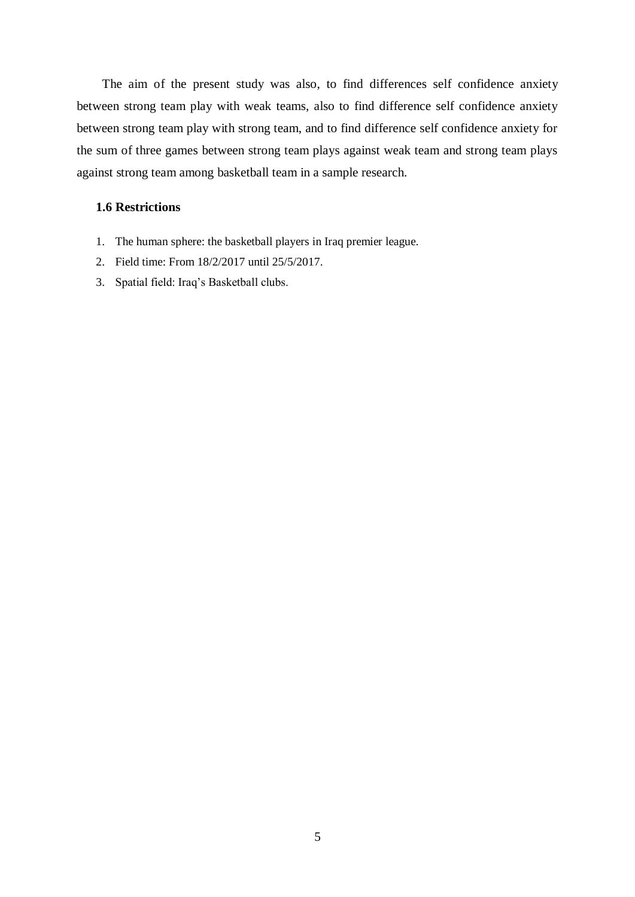The aim of the present study was also, to find differences self confidence anxiety between strong team play with weak teams, also to find difference self confidence anxiety between strong team play with strong team, and to find difference self confidence anxiety for the sum of three games between strong team plays against weak team and strong team plays against strong team among basketball team in a sample research.

# **1.6 Restrictions**

- 1. The human sphere: the basketball players in Iraq premier league.
- 2. Field time: From 18/2/2017 until 25/5/2017.
- 3. Spatial field: Iraq's Basketball clubs.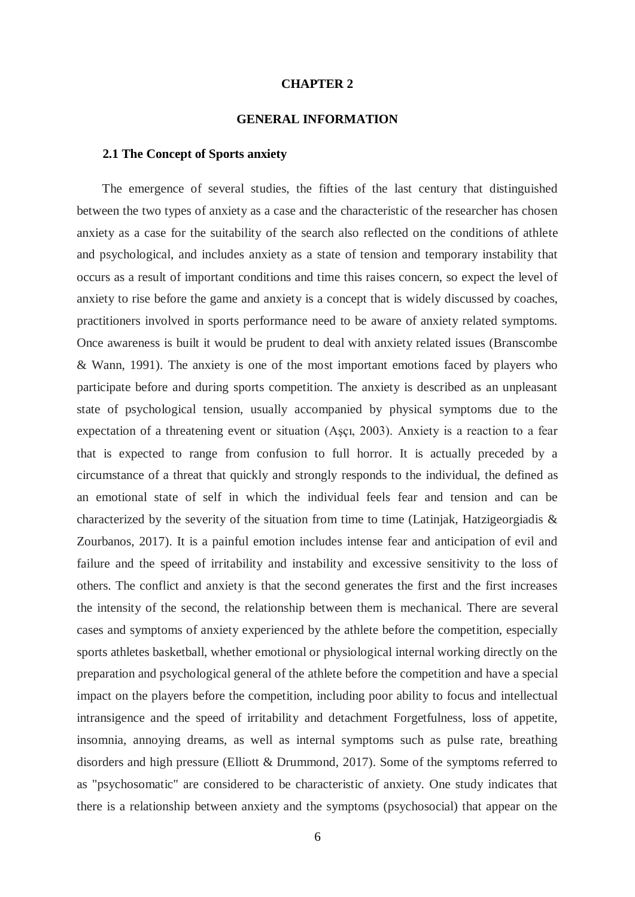### **CHAPTER 2**

#### **GENERAL INFORMATION**

## **2.1 The Concept of Sports anxiety**

 The emergence of several studies, the fifties of the last century that distinguished between the two types of anxiety as a case and the characteristic of the researcher has chosen anxiety as a case for the suitability of the search also reflected on the conditions of athlete and psychological, and includes anxiety as a state of tension and temporary instability that occurs as a result of important conditions and time this raises concern, so expect the level of anxiety to rise before the game and anxiety is a concept that is widely discussed by coaches, practitioners involved in sports performance need to be aware of anxiety related symptoms. Once awareness is built it would be prudent to deal with anxiety related issues (Branscombe & Wann, 1991). The anxiety is one of the most important emotions faced by players who participate before and during sports competition. The anxiety is described as an unpleasant state of psychological tension, usually accompanied by physical symptoms due to the expectation of a threatening event or situation (Aşçı, 2003). Anxiety is a reaction to a fear that is expected to range from confusion to full horror. It is actually preceded by a circumstance of a threat that quickly and strongly responds to the individual, the defined as an emotional state of self in which the individual feels fear and tension and can be characterized by the severity of the situation from time to time (Latinjak, Hatzigeorgiadis & Zourbanos, 2017). It is a painful emotion includes intense fear and anticipation of evil and failure and the speed of irritability and instability and excessive sensitivity to the loss of others. The conflict and anxiety is that the second generates the first and the first increases the intensity of the second, the relationship between them is mechanical. There are several cases and symptoms of anxiety experienced by the athlete before the competition, especially sports athletes basketball, whether emotional or physiological internal working directly on the preparation and psychological general of the athlete before the competition and have a special impact on the players before the competition, including poor ability to focus and intellectual intransigence and the speed of irritability and detachment Forgetfulness, loss of appetite, insomnia, annoying dreams, as well as internal symptoms such as pulse rate, breathing disorders and high pressure (Elliott & Drummond, 2017). Some of the symptoms referred to as "psychosomatic" are considered to be characteristic of anxiety. One study indicates that there is a relationship between anxiety and the symptoms (psychosocial) that appear on the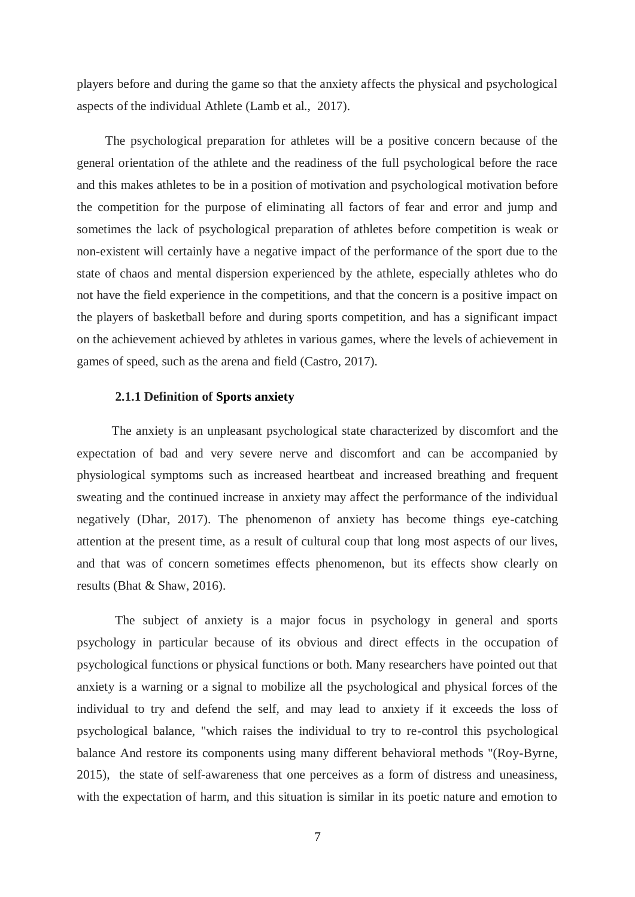players before and during the game so that the anxiety affects the physical and psychological aspects of the individual Athlete (Lamb et al., 2017).

 The psychological preparation for athletes will be a positive concern because of the general orientation of the athlete and the readiness of the full psychological before the race and this makes athletes to be in a position of motivation and psychological motivation before the competition for the purpose of eliminating all factors of fear and error and jump and sometimes the lack of psychological preparation of athletes before competition is weak or non-existent will certainly have a negative impact of the performance of the sport due to the state of chaos and mental dispersion experienced by the athlete, especially athletes who do not have the field experience in the competitions, and that the concern is a positive impact on the players of basketball before and during sports competition, and has a significant impact on the achievement achieved by athletes in various games, where the levels of achievement in games of speed, such as the arena and field (Castro, 2017).

# **2.1.1 Definition of Sports anxiety**

 The anxiety is an unpleasant psychological state characterized by discomfort and the expectation of bad and very severe nerve and discomfort and can be accompanied by physiological symptoms such as increased heartbeat and increased breathing and frequent sweating and the continued increase in anxiety may affect the performance of the individual negatively (Dhar, 2017). The phenomenon of anxiety has become things eye-catching attention at the present time, as a result of cultural coup that long most aspects of our lives, and that was of concern sometimes effects phenomenon, but its effects show clearly on results (Bhat & Shaw, 2016).

 The subject of anxiety is a major focus in psychology in general and sports psychology in particular because of its obvious and direct effects in the occupation of psychological functions or physical functions or both. Many researchers have pointed out that anxiety is a warning or a signal to mobilize all the psychological and physical forces of the individual to try and defend the self, and may lead to anxiety if it exceeds the loss of psychological balance, "which raises the individual to try to re-control this psychological balance And restore its components using many different behavioral methods "(Roy-Byrne, 2015), the state of self-awareness that one perceives as a form of distress and uneasiness, with the expectation of harm, and this situation is similar in its poetic nature and emotion to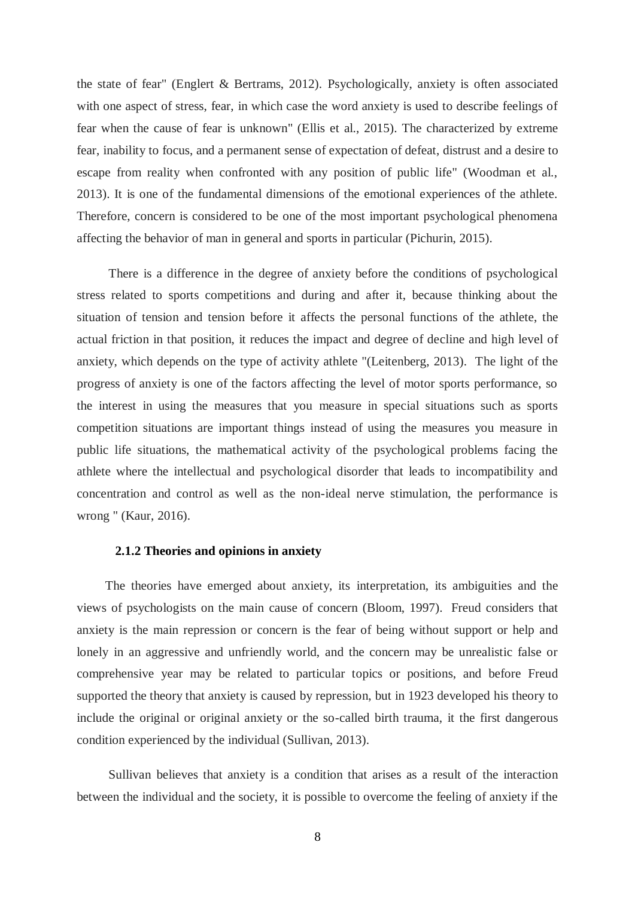the state of fear" (Englert & Bertrams, 2012). Psychologically, anxiety is often associated with one aspect of stress, fear, in which case the word anxiety is used to describe feelings of fear when the cause of fear is unknown" (Ellis et al., 2015). The characterized by extreme fear, inability to focus, and a permanent sense of expectation of defeat, distrust and a desire to escape from reality when confronted with any position of public life" (Woodman et al., 2013). It is one of the fundamental dimensions of the emotional experiences of the athlete. Therefore, concern is considered to be one of the most important psychological phenomena affecting the behavior of man in general and sports in particular (Pichurin, 2015).

 There is a difference in the degree of anxiety before the conditions of psychological stress related to sports competitions and during and after it, because thinking about the situation of tension and tension before it affects the personal functions of the athlete, the actual friction in that position, it reduces the impact and degree of decline and high level of anxiety, which depends on the type of activity athlete "(Leitenberg, 2013). The light of the progress of anxiety is one of the factors affecting the level of motor sports performance, so the interest in using the measures that you measure in special situations such as sports competition situations are important things instead of using the measures you measure in public life situations, the mathematical activity of the psychological problems facing the athlete where the intellectual and psychological disorder that leads to incompatibility and concentration and control as well as the non-ideal nerve stimulation, the performance is wrong " (Kaur, 2016).

# **2.1.2 Theories and opinions in anxiety**

 The theories have emerged about anxiety, its interpretation, its ambiguities and the views of psychologists on the main cause of concern (Bloom, 1997). Freud considers that anxiety is the main repression or concern is the fear of being without support or help and lonely in an aggressive and unfriendly world, and the concern may be unrealistic false or comprehensive year may be related to particular topics or positions, and before Freud supported the theory that anxiety is caused by repression, but in 1923 developed his theory to include the original or original anxiety or the so-called birth trauma, it the first dangerous condition experienced by the individual (Sullivan, 2013).

 Sullivan believes that anxiety is a condition that arises as a result of the interaction between the individual and the society, it is possible to overcome the feeling of anxiety if the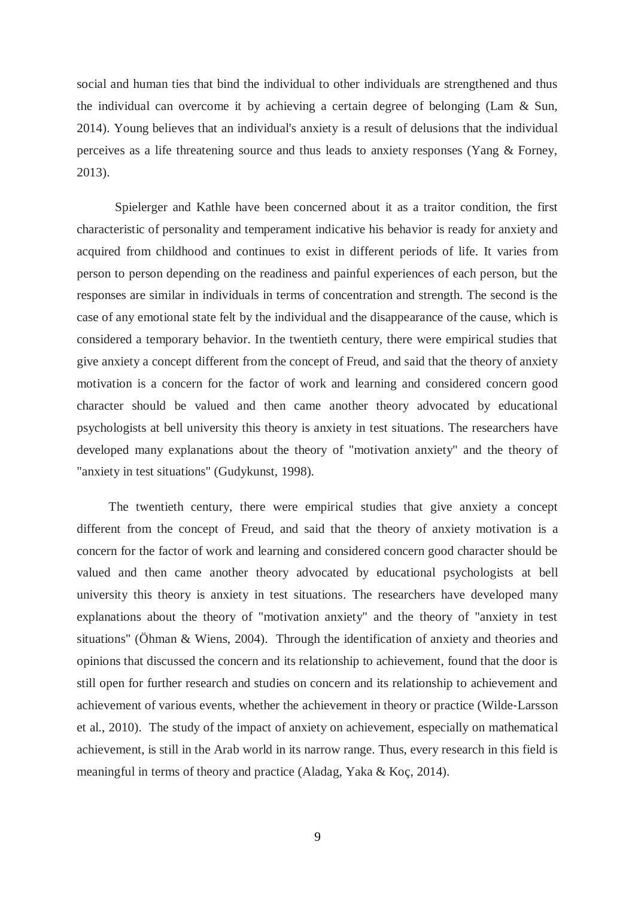social and human ties that bind the individual to other individuals are strengthened and thus the individual can overcome it by achieving a certain degree of belonging (Lam & Sun, 2014). Young believes that an individual's anxiety is a result of delusions that the individual perceives as a life threatening source and thus leads to anxiety responses (Yang & Forney, 2013).

 Spielerger and Kathle have been concerned about it as a traitor condition, the first characteristic of personality and temperament indicative his behavior is ready for anxiety and acquired from childhood and continues to exist in different periods of life. It varies from person to person depending on the readiness and painful experiences of each person, but the responses are similar in individuals in terms of concentration and strength. The second is the case of any emotional state felt by the individual and the disappearance of the cause, which is considered a temporary behavior. In the twentieth century, there were empirical studies that give anxiety a concept different from the concept of Freud, and said that the theory of anxiety motivation is a concern for the factor of work and learning and considered concern good character should be valued and then came another theory advocated by educational psychologists at bell university this theory is anxiety in test situations. The researchers have developed many explanations about the theory of "motivation anxiety" and the theory of "anxiety in test situations" (Gudykunst, 1998).

 The twentieth century, there were empirical studies that give anxiety a concept different from the concept of Freud, and said that the theory of anxiety motivation is a concern for the factor of work and learning and considered concern good character should be valued and then came another theory advocated by educational psychologists at bell university this theory is anxiety in test situations. The researchers have developed many explanations about the theory of "motivation anxiety" and the theory of "anxiety in test situations" (Öhman & Wiens, 2004). Through the identification of anxiety and theories and opinions that discussed the concern and its relationship to achievement, found that the door is still open for further research and studies on concern and its relationship to achievement and achievement of various events, whether the achievement in theory or practice (Wilde‐Larsson et al., 2010). The study of the impact of anxiety on achievement, especially on mathematical achievement, is still in the Arab world in its narrow range. Thus, every research in this field is meaningful in terms of theory and practice (Aladag, Yaka & Koç, 2014).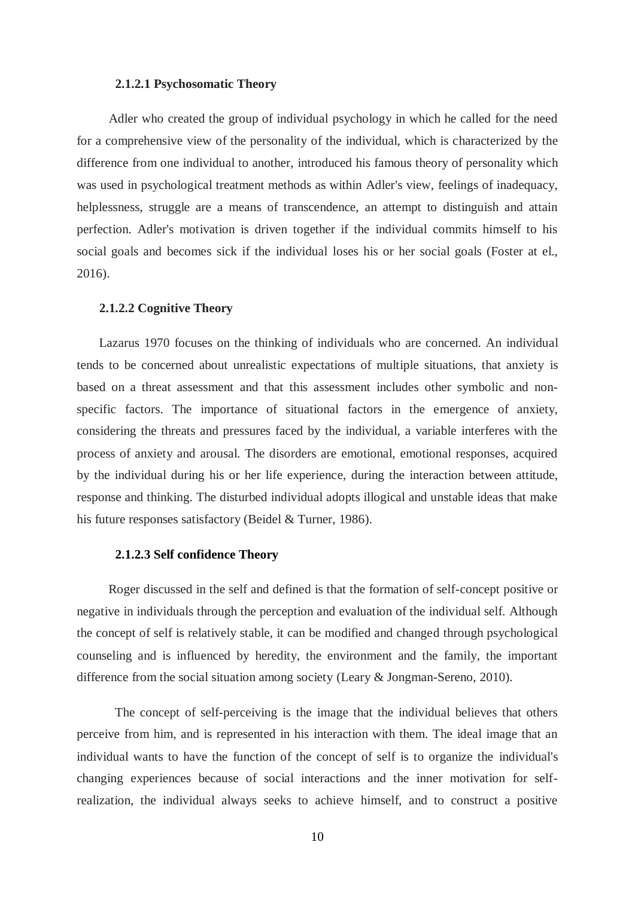# **2.1.2.1 Psychosomatic Theory**

 Adler who created the group of individual psychology in which he called for the need for a comprehensive view of the personality of the individual, which is characterized by the difference from one individual to another, introduced his famous theory of personality which was used in psychological treatment methods as within Adler's view, feelings of inadequacy, helplessness, struggle are a means of transcendence, an attempt to distinguish and attain perfection. Adler's motivation is driven together if the individual commits himself to his social goals and becomes sick if the individual loses his or her social goals (Foster at el., 2016).

### **2.1.2.2 Cognitive Theory**

 Lazarus 1970 focuses on the thinking of individuals who are concerned. An individual tends to be concerned about unrealistic expectations of multiple situations, that anxiety is based on a threat assessment and that this assessment includes other symbolic and nonspecific factors. The importance of situational factors in the emergence of anxiety, considering the threats and pressures faced by the individual, a variable interferes with the process of anxiety and arousal. The disorders are emotional, emotional responses, acquired by the individual during his or her life experience, during the interaction between attitude, response and thinking. The disturbed individual adopts illogical and unstable ideas that make his future responses satisfactory (Beidel & Turner, 1986).

# **2.1.2.3 Self confidence Theory**

 Roger discussed in the self and defined is that the formation of self-concept positive or negative in individuals through the perception and evaluation of the individual self. Although the concept of self is relatively stable, it can be modified and changed through psychological counseling and is influenced by heredity, the environment and the family, the important difference from the social situation among society (Leary & Jongman-Sereno, 2010).

 The concept of self-perceiving is the image that the individual believes that others perceive from him, and is represented in his interaction with them. The ideal image that an individual wants to have the function of the concept of self is to organize the individual's changing experiences because of social interactions and the inner motivation for selfrealization, the individual always seeks to achieve himself, and to construct a positive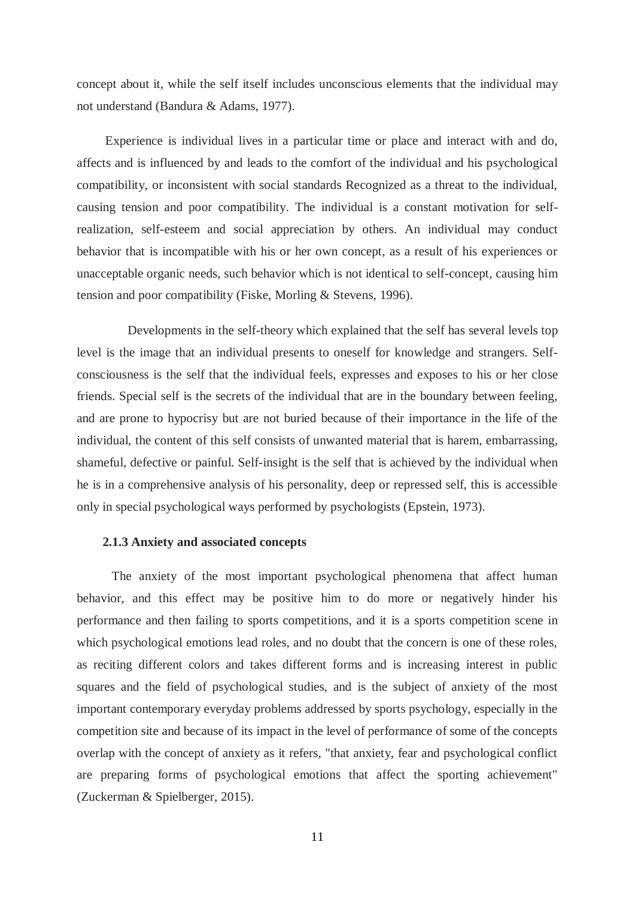concept about it, while the self itself includes unconscious elements that the individual may not understand (Bandura & Adams, 1977).

 Experience is individual lives in a particular time or place and interact with and do, affects and is influenced by and leads to the comfort of the individual and his psychological compatibility, or inconsistent with social standards Recognized as a threat to the individual, causing tension and poor compatibility. The individual is a constant motivation for selfrealization, self-esteem and social appreciation by others. An individual may conduct behavior that is incompatible with his or her own concept, as a result of his experiences or unacceptable organic needs, such behavior which is not identical to self-concept, causing him tension and poor compatibility (Fiske, Morling & Stevens, 1996).

 Developments in the self-theory which explained that the self has several levels top level is the image that an individual presents to oneself for knowledge and strangers. Selfconsciousness is the self that the individual feels, expresses and exposes to his or her close friends. Special self is the secrets of the individual that are in the boundary between feeling, and are prone to hypocrisy but are not buried because of their importance in the life of the individual, the content of this self consists of unwanted material that is harem, embarrassing, shameful, defective or painful. Self-insight is the self that is achieved by the individual when he is in a comprehensive analysis of his personality, deep or repressed self, this is accessible only in special psychological ways performed by psychologists (Epstein, 1973).

# **2.1.3 Anxiety and associated concepts**

 The anxiety of the most important psychological phenomena that affect human behavior, and this effect may be positive him to do more or negatively hinder his performance and then failing to sports competitions, and it is a sports competition scene in which psychological emotions lead roles, and no doubt that the concern is one of these roles, as reciting different colors and takes different forms and is increasing interest in public squares and the field of psychological studies, and is the subject of anxiety of the most important contemporary everyday problems addressed by sports psychology, especially in the competition site and because of its impact in the level of performance of some of the concepts overlap with the concept of anxiety as it refers, "that anxiety, fear and psychological conflict are preparing forms of psychological emotions that affect the sporting achievement" (Zuckerman & Spielberger, 2015).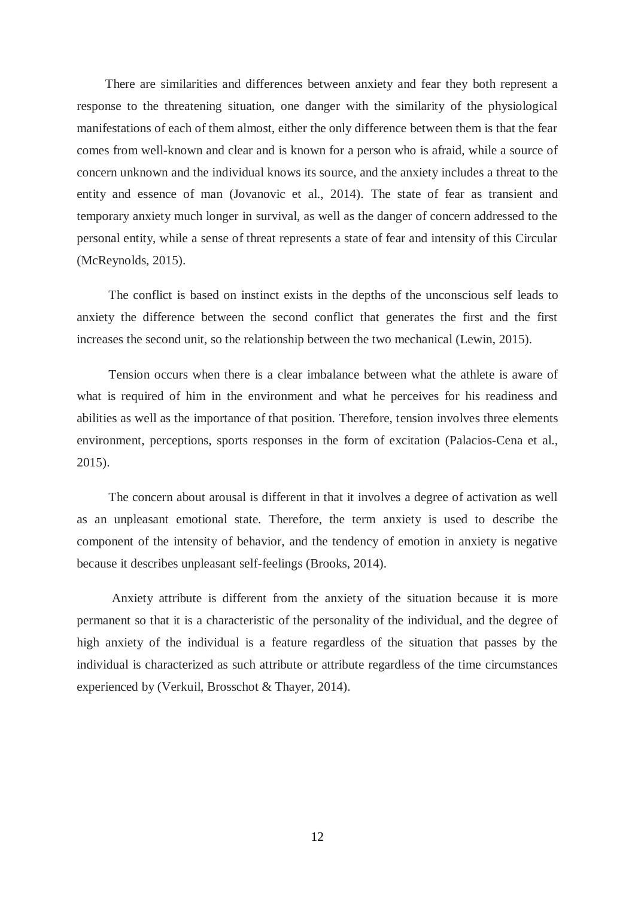There are similarities and differences between anxiety and fear they both represent a response to the threatening situation, one danger with the similarity of the physiological manifestations of each of them almost, either the only difference between them is that the fear comes from well-known and clear and is known for a person who is afraid, while a source of concern unknown and the individual knows its source, and the anxiety includes a threat to the entity and essence of man (Jovanovic et al., 2014). The state of fear as transient and temporary anxiety much longer in survival, as well as the danger of concern addressed to the personal entity, while a sense of threat represents a state of fear and intensity of this Circular (McReynolds, 2015).

 The conflict is based on instinct exists in the depths of the unconscious self leads to anxiety the difference between the second conflict that generates the first and the first increases the second unit, so the relationship between the two mechanical (Lewin, 2015).

 Tension occurs when there is a clear imbalance between what the athlete is aware of what is required of him in the environment and what he perceives for his readiness and abilities as well as the importance of that position. Therefore, tension involves three elements environment, perceptions, sports responses in the form of excitation (Palacios-Cena et al., 2015).

 The concern about arousal is different in that it involves a degree of activation as well as an unpleasant emotional state. Therefore, the term anxiety is used to describe the component of the intensity of behavior, and the tendency of emotion in anxiety is negative because it describes unpleasant self-feelings (Brooks, 2014).

 Anxiety attribute is different from the anxiety of the situation because it is more permanent so that it is a characteristic of the personality of the individual, and the degree of high anxiety of the individual is a feature regardless of the situation that passes by the individual is characterized as such attribute or attribute regardless of the time circumstances experienced by (Verkuil, Brosschot & Thayer, 2014).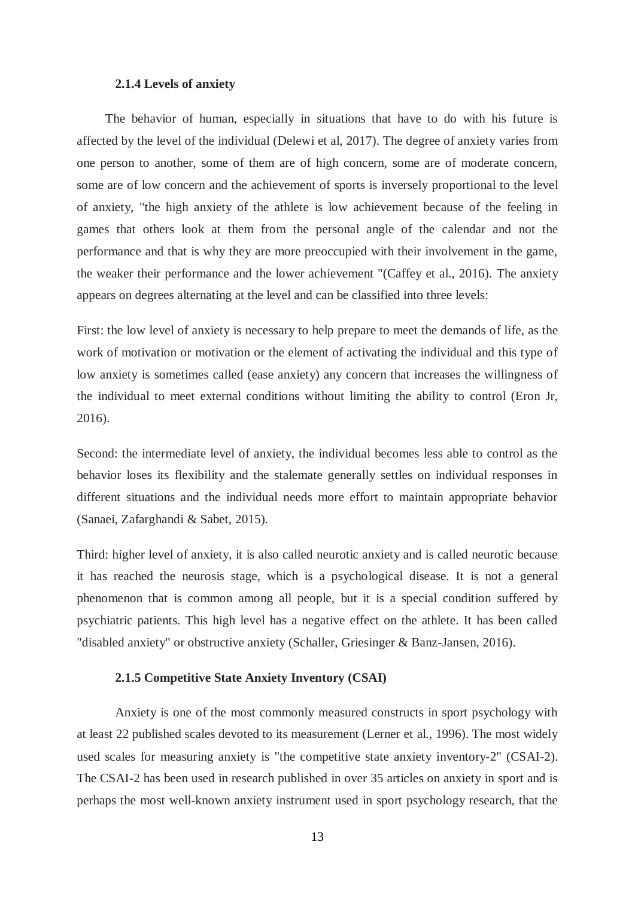# **2.1.4 Levels of anxiety**

 The behavior of human, especially in situations that have to do with his future is affected by the level of the individual (Delewi et al, 2017). The degree of anxiety varies from one person to another, some of them are of high concern, some are of moderate concern, some are of low concern and the achievement of sports is inversely proportional to the level of anxiety, "the high anxiety of the athlete is low achievement because of the feeling in games that others look at them from the personal angle of the calendar and not the performance and that is why they are more preoccupied with their involvement in the game, the weaker their performance and the lower achievement "(Caffey et al., 2016). The anxiety appears on degrees alternating at the level and can be classified into three levels:

First: the low level of anxiety is necessary to help prepare to meet the demands of life, as the work of motivation or motivation or the element of activating the individual and this type of low anxiety is sometimes called (ease anxiety) any concern that increases the willingness of the individual to meet external conditions without limiting the ability to control (Eron Jr, 2016).

Second: the intermediate level of anxiety, the individual becomes less able to control as the behavior loses its flexibility and the stalemate generally settles on individual responses in different situations and the individual needs more effort to maintain appropriate behavior (Sanaei, Zafarghandi & Sabet, 2015).

Third: higher level of anxiety, it is also called neurotic anxiety and is called neurotic because it has reached the neurosis stage, which is a psychological disease. It is not a general phenomenon that is common among all people, but it is a special condition suffered by psychiatric patients. This high level has a negative effect on the athlete. It has been called "disabled anxiety" or obstructive anxiety (Schaller, Griesinger & Banz-Jansen, 2016).

### **2.1.5 Competitive State Anxiety Inventory (CSAI)**

 Anxiety is one of the most commonly measured constructs in sport psychology with at least 22 published scales devoted to its measurement (Lerner et al., 1996). The most widely used scales for measuring anxiety is "the competitive state anxiety inventory-2" (CSAI-2). The CSAI-2 has been used in research published in over 35 articles on anxiety in sport and is perhaps the most well-known anxiety instrument used in sport psychology research, that the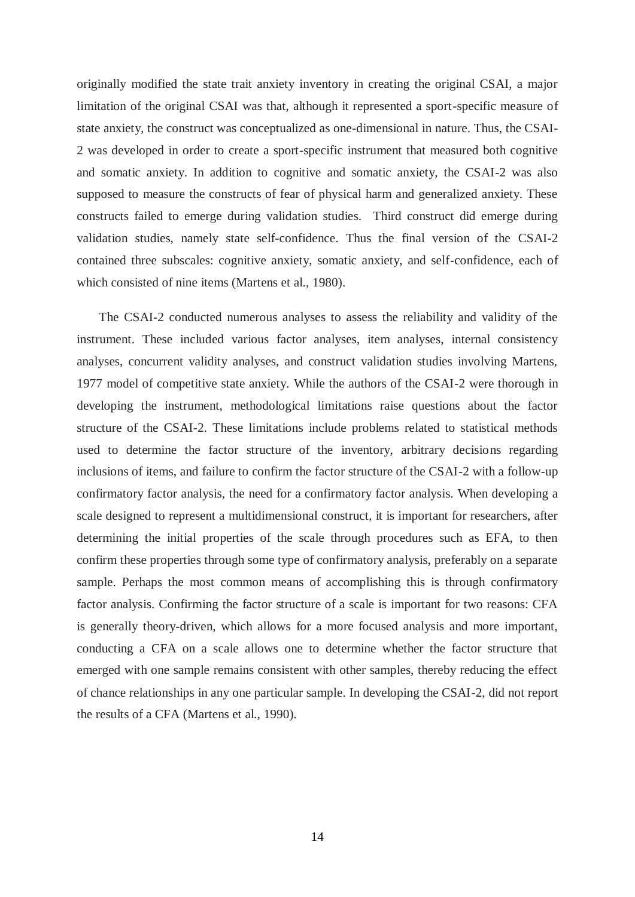originally modified the state trait anxiety inventory in creating the original CSAI, a major limitation of the original CSAI was that, although it represented a sport-specific measure of state anxiety, the construct was conceptualized as one-dimensional in nature. Thus, the CSAI-2 was developed in order to create a sport-specific instrument that measured both cognitive and somatic anxiety. In addition to cognitive and somatic anxiety, the CSAI-2 was also supposed to measure the constructs of fear of physical harm and generalized anxiety. These constructs failed to emerge during validation studies. Third construct did emerge during validation studies, namely state self-confidence. Thus the final version of the CSAI-2 contained three subscales: cognitive anxiety, somatic anxiety, and self-confidence, each of which consisted of nine items (Martens et al., 1980).

 The CSAI-2 conducted numerous analyses to assess the reliability and validity of the instrument. These included various factor analyses, item analyses, internal consistency analyses, concurrent validity analyses, and construct validation studies involving Martens, 1977 model of competitive state anxiety. While the authors of the CSAI-2 were thorough in developing the instrument, methodological limitations raise questions about the factor structure of the CSAI-2. These limitations include problems related to statistical methods used to determine the factor structure of the inventory, arbitrary decisions regarding inclusions of items, and failure to confirm the factor structure of the CSAI-2 with a follow-up confirmatory factor analysis, the need for a confirmatory factor analysis. When developing a scale designed to represent a multidimensional construct, it is important for researchers, after determining the initial properties of the scale through procedures such as EFA, to then confirm these properties through some type of confirmatory analysis, preferably on a separate sample. Perhaps the most common means of accomplishing this is through confirmatory factor analysis. Confirming the factor structure of a scale is important for two reasons: CFA is generally theory-driven, which allows for a more focused analysis and more important, conducting a CFA on a scale allows one to determine whether the factor structure that emerged with one sample remains consistent with other samples, thereby reducing the effect of chance relationships in any one particular sample. In developing the CSAI-2, did not report the results of a CFA (Martens et al., 1990).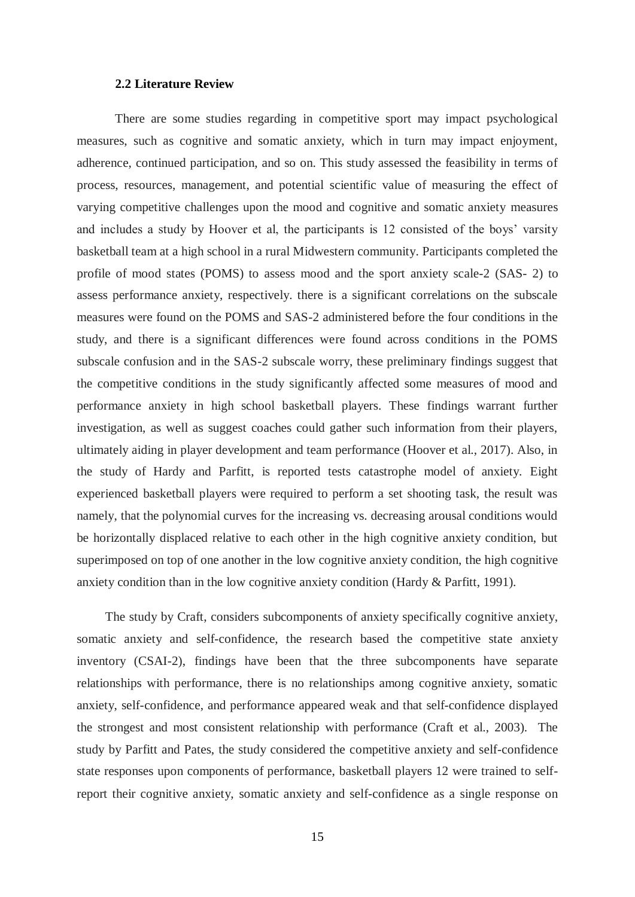### **2.2 Literature Review**

 There are some studies regarding in competitive sport may impact psychological measures, such as cognitive and somatic anxiety, which in turn may impact enjoyment, adherence, continued participation, and so on. This study assessed the feasibility in terms of process, resources, management, and potential scientific value of measuring the effect of varying competitive challenges upon the mood and cognitive and somatic anxiety measures and includes a study by Hoover et al, the participants is 12 consisted of the boys' varsity basketball team at a high school in a rural Midwestern community. Participants completed the profile of mood states (POMS) to assess mood and the sport anxiety scale-2 (SAS- 2) to assess performance anxiety, respectively. there is a significant correlations on the subscale measures were found on the POMS and SAS-2 administered before the four conditions in the study, and there is a significant differences were found across conditions in the POMS subscale confusion and in the SAS-2 subscale worry, these preliminary findings suggest that the competitive conditions in the study significantly affected some measures of mood and performance anxiety in high school basketball players. These findings warrant further investigation, as well as suggest coaches could gather such information from their players, ultimately aiding in player development and team performance (Hoover et al., 2017). Also, in the study of Hardy and Parfitt, is reported tests catastrophe model of anxiety. Eight experienced basketball players were required to perform a set shooting task, the result was namely, that the polynomial curves for the increasing vs. decreasing arousal conditions would be horizontally displaced relative to each other in the high cognitive anxiety condition, but superimposed on top of one another in the low cognitive anxiety condition, the high cognitive anxiety condition than in the low cognitive anxiety condition (Hardy & Parfitt, 1991).

 The study by Craft, considers subcomponents of anxiety specifically cognitive anxiety, somatic anxiety and self-confidence, the research based the competitive state anxiety inventory (CSAI-2), findings have been that the three subcomponents have separate relationships with performance, there is no relationships among cognitive anxiety, somatic anxiety, self-confidence, and performance appeared weak and that self-confidence displayed the strongest and most consistent relationship with performance (Craft et al., 2003). The study by Parfitt and Pates, the study considered the competitive anxiety and self-confidence state responses upon components of performance, basketball players 12 were trained to selfreport their cognitive anxiety, somatic anxiety and self-confidence as a single response on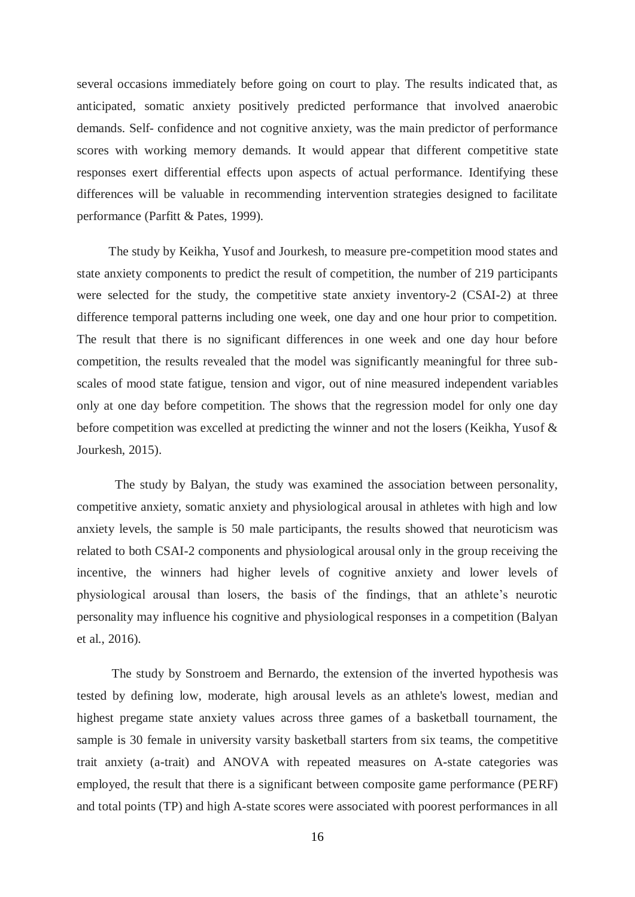several occasions immediately before going on court to play. The results indicated that, as anticipated, somatic anxiety positively predicted performance that involved anaerobic demands. Self- confidence and not cognitive anxiety, was the main predictor of performance scores with working memory demands. It would appear that different competitive state responses exert differential effects upon aspects of actual performance. Identifying these differences will be valuable in recommending intervention strategies designed to facilitate performance (Parfitt & Pates, 1999).

 The study by Keikha, Yusof and Jourkesh, to measure pre-competition mood states and state anxiety components to predict the result of competition, the number of 219 participants were selected for the study, the competitive state anxiety inventory-2 (CSAI-2) at three difference temporal patterns including one week, one day and one hour prior to competition. The result that there is no significant differences in one week and one day hour before competition, the results revealed that the model was significantly meaningful for three subscales of mood state fatigue, tension and vigor, out of nine measured independent variables only at one day before competition. The shows that the regression model for only one day before competition was excelled at predicting the winner and not the losers (Keikha, Yusof & Jourkesh, 2015).

 The study by Balyan, the study was examined the association between personality, competitive anxiety, somatic anxiety and physiological arousal in athletes with high and low anxiety levels, the sample is 50 male participants, the results showed that neuroticism was related to both CSAI-2 components and physiological arousal only in the group receiving the incentive, the winners had higher levels of cognitive anxiety and lower levels of physiological arousal than losers, the basis of the findings, that an athlete's neurotic personality may influence his cognitive and physiological responses in a competition (Balyan et al., 2016).

 The study by Sonstroem and Bernardo, the extension of the inverted hypothesis was tested by defining low, moderate, high arousal levels as an athlete's lowest, median and highest pregame state anxiety values across three games of a basketball tournament, the sample is 30 female in university varsity basketball starters from six teams, the competitive trait anxiety (a-trait) and ANOVA with repeated measures on A-state categories was employed, the result that there is a significant between composite game performance (PERF) and total points (TP) and high A-state scores were associated with poorest performances in all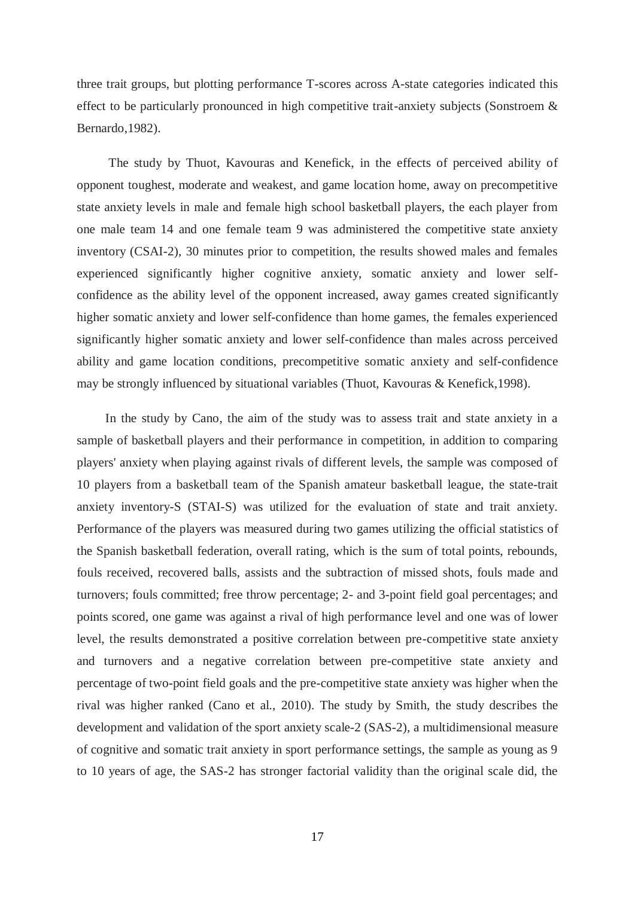three trait groups, but plotting performance T-scores across A-state categories indicated this effect to be particularly pronounced in high competitive trait-anxiety subjects (Sonstroem & Bernardo,1982).

 The study by Thuot, Kavouras and Kenefick, in the effects of perceived ability of opponent toughest, moderate and weakest, and game location home, away on precompetitive state anxiety levels in male and female high school basketball players, the each player from one male team 14 and one female team 9 was administered the competitive state anxiety inventory (CSAI-2), 30 minutes prior to competition, the results showed males and females experienced significantly higher cognitive anxiety, somatic anxiety and lower selfconfidence as the ability level of the opponent increased, away games created significantly higher somatic anxiety and lower self-confidence than home games, the females experienced significantly higher somatic anxiety and lower self-confidence than males across perceived ability and game location conditions, precompetitive somatic anxiety and self-confidence may be strongly influenced by situational variables (Thuot, Kavouras & Kenefick,1998).

 In the study by Cano, the aim of the study was to assess trait and state anxiety in a sample of basketball players and their performance in competition, in addition to comparing players' anxiety when playing against rivals of different levels, the sample was composed of 10 players from a basketball team of the Spanish amateur basketball league, the state-trait anxiety inventory-S (STAI-S) was utilized for the evaluation of state and trait anxiety. Performance of the players was measured during two games utilizing the official statistics of the Spanish basketball federation, overall rating, which is the sum of total points, rebounds, fouls received, recovered balls, assists and the subtraction of missed shots, fouls made and turnovers; fouls committed; free throw percentage; 2- and 3-point field goal percentages; and points scored, one game was against a rival of high performance level and one was of lower level, the results demonstrated a positive correlation between pre-competitive state anxiety and turnovers and a negative correlation between pre-competitive state anxiety and percentage of two-point field goals and the pre-competitive state anxiety was higher when the rival was higher ranked (Cano et al., 2010). The study by Smith, the study describes the development and validation of the sport anxiety scale-2 (SAS-2), a multidimensional measure of cognitive and somatic trait anxiety in sport performance settings, the sample as young as 9 to 10 years of age, the SAS-2 has stronger factorial validity than the original scale did, the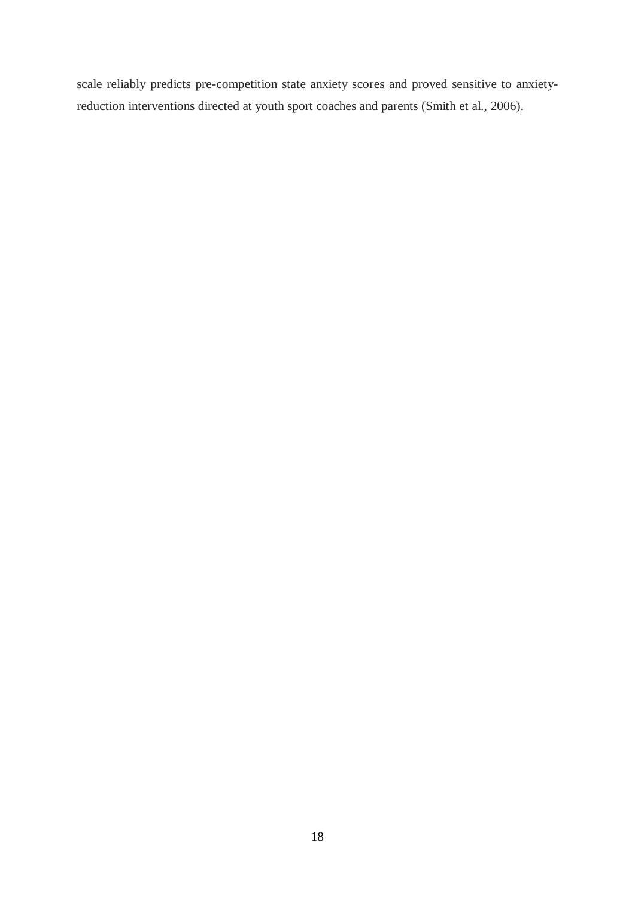scale reliably predicts pre-competition state anxiety scores and proved sensitive to anxietyreduction interventions directed at youth sport coaches and parents (Smith et al., 2006).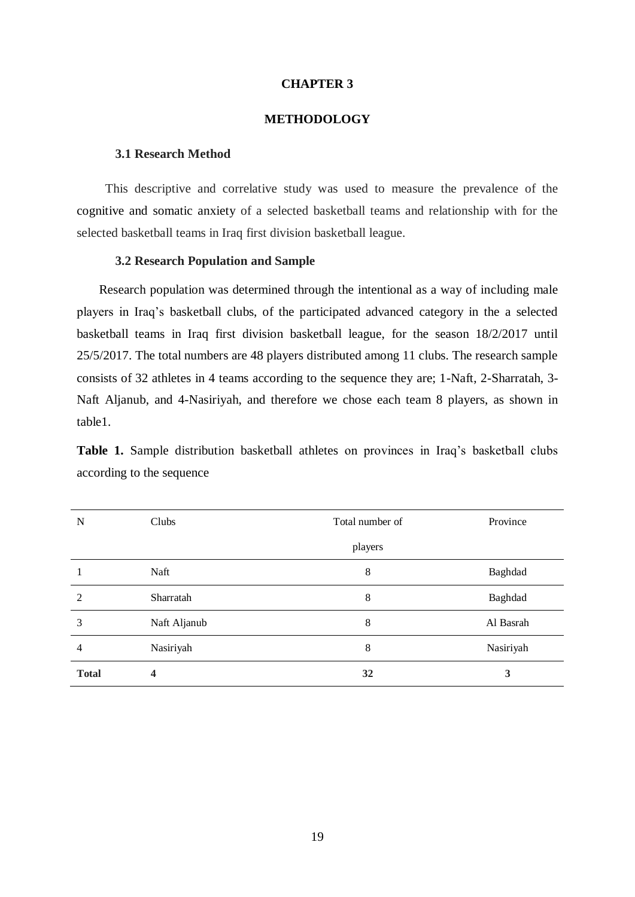#### **CHAPTER 3**

# **METHODOLOGY**

# **3.1 Research Method**

 This descriptive and correlative study was used to measure the prevalence of the cognitive and somatic anxiety of a selected basketball teams and relationship with for the selected basketball teams in Iraq first division basketball league.

### **3.2 Research Population and Sample**

 Research population was determined through the intentional as a way of including male players in Iraq's basketball clubs, of the participated advanced category in the a selected basketball teams in Iraq first division basketball league, for the season 18/2/2017 until 25/5/2017. The total numbers are 48 players distributed among 11 clubs. The research sample consists of 32 athletes in 4 teams according to the sequence they are; 1-Naft, 2-Sharratah, 3- Naft Aljanub, and 4-Nasiriyah, and therefore we chose each team 8 players, as shown in table1.

**Table 1.** Sample distribution basketball athletes on provinces in Iraq's basketball clubs according to the sequence

| N            | Clubs        | Total number of | Province  |
|--------------|--------------|-----------------|-----------|
|              |              | players         |           |
|              | Naft         | 8               | Baghdad   |
| 2            | Sharratah    | 8               | Baghdad   |
| 3            | Naft Aljanub | 8               | Al Basrah |
| 4            | Nasiriyah    | 8               | Nasiriyah |
| <b>Total</b> | 4            | 32              | 3         |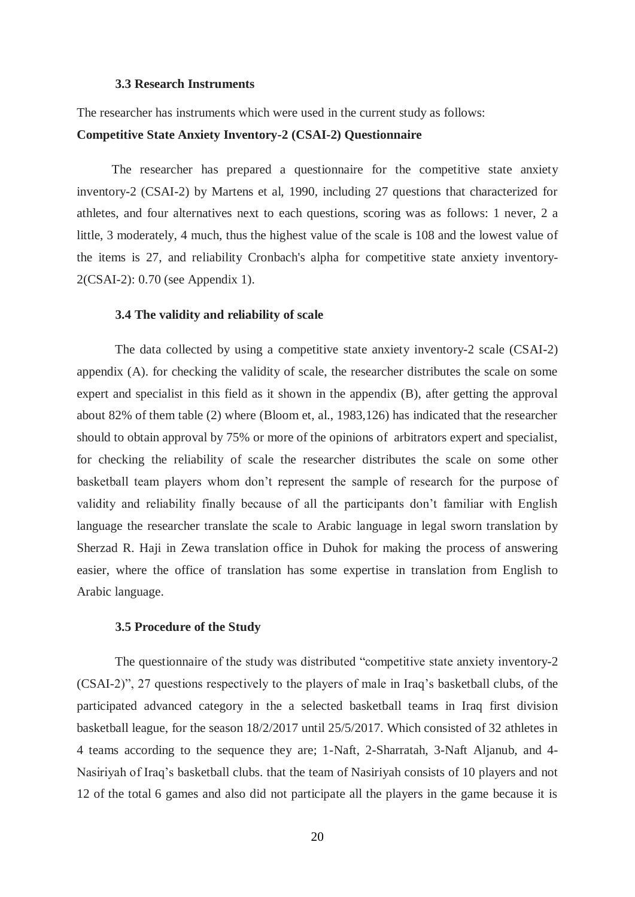## **3.3 Research Instruments**

The researcher has instruments which were used in the current study as follows:

# **Competitive State Anxiety Inventory-2 (CSAI-2) Questionnaire**

 The researcher has prepared a questionnaire for the competitive state anxiety inventory-2 (CSAI-2) by Martens et al, 1990, including 27 questions that characterized for athletes, and four alternatives next to each questions, scoring was as follows: 1 never, 2 a little, 3 moderately, 4 much, thus the highest value of the scale is 108 and the lowest value of the items is 27, and reliability Cronbach's alpha for competitive state anxiety inventory-2(CSAI-2): 0.70 (see Appendix 1).

### **3.4 The validity and reliability of scale**

 The data collected by using a competitive state anxiety inventory-2 scale (CSAI-2) appendix (A). for checking the validity of scale, the researcher distributes the scale on some expert and specialist in this field as it shown in the appendix (B), after getting the approval about 82% of them table (2) where (Bloom et, al., 1983,126) has indicated that the researcher should to obtain approval by 75% or more of the opinions of arbitrators expert and specialist, for checking the reliability of scale the researcher distributes the scale on some other basketball team players whom don't represent the sample of research for the purpose of validity and reliability finally because of all the participants don't familiar with English language the researcher translate the scale to Arabic language in legal sworn translation by Sherzad R. Haji in Zewa translation office in Duhok for making the process of answering easier, where the office of translation has some expertise in translation from English to Arabic language.

#### **3.5 Procedure of the Study**

 The questionnaire of the study was distributed "competitive state anxiety inventory-2 (CSAI-2)", 27 questions respectively to the players of male in Iraq's basketball clubs, of the participated advanced category in the a selected basketball teams in Iraq first division basketball league, for the season 18/2/2017 until 25/5/2017. Which consisted of 32 athletes in 4 teams according to the sequence they are; 1-Naft, 2-Sharratah, 3-Naft Aljanub, and 4- Nasiriyah of Iraq's basketball clubs. that the team of Nasiriyah consists of 10 players and not 12 of the total 6 games and also did not participate all the players in the game because it is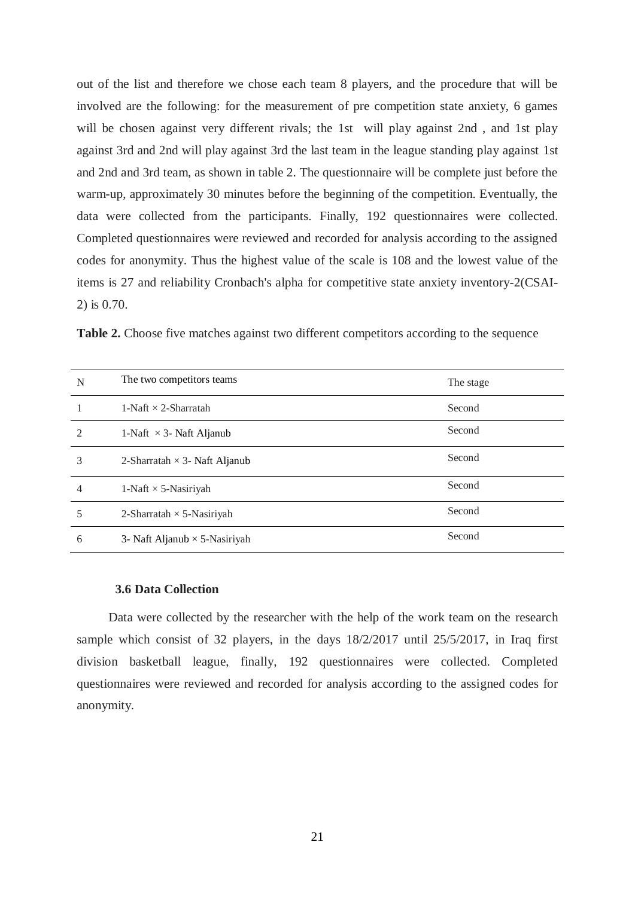out of the list and therefore we chose each team 8 players, and the procedure that will be involved are the following: for the measurement of pre competition state anxiety, 6 games will be chosen against very different rivals; the 1st will play against 2nd, and 1st play against 3rd and 2nd will play against 3rd the last team in the league standing play against 1st and 2nd and 3rd team, as shown in table 2. The questionnaire will be complete just before the warm-up, approximately 30 minutes before the beginning of the competition. Eventually, the data were collected from the participants. Finally, 192 questionnaires were collected. Completed questionnaires were reviewed and recorded for analysis according to the assigned codes for anonymity. Thus the highest value of the scale is 108 and the lowest value of the items is 27 and reliability Cronbach's alpha for competitive state anxiety inventory-2(CSAI-2) is 0.70.

|  |  |  | Table 2. Choose five matches against two different competitors according to the sequence |  |  |
|--|--|--|------------------------------------------------------------------------------------------|--|--|
|  |  |  |                                                                                          |  |  |

| N              | The two competitors teams            | The stage |
|----------------|--------------------------------------|-----------|
|                | 1-Naft $\times$ 2-Sharratah          | Second    |
| $\mathfrak{D}$ | 1-Naft $\times$ 3- Naft Aljanub      | Second    |
| 3              | 2-Sharratah $\times$ 3- Naft Aljanub | Second    |
| 4              | 1-Naft $\times$ 5-Nasiriyah          | Second    |
| 5              | 2-Sharratah $\times$ 5-Nasiriyah     | Second    |
| 6              | 3- Naft Aljanub $\times$ 5-Nasiriyah | Second    |

#### **3.6 Data Collection**

 Data were collected by the researcher with the help of the work team on the research sample which consist of 32 players, in the days 18/2/2017 until 25/5/2017, in Iraq first division basketball league, finally, 192 questionnaires were collected. Completed questionnaires were reviewed and recorded for analysis according to the assigned codes for anonymity.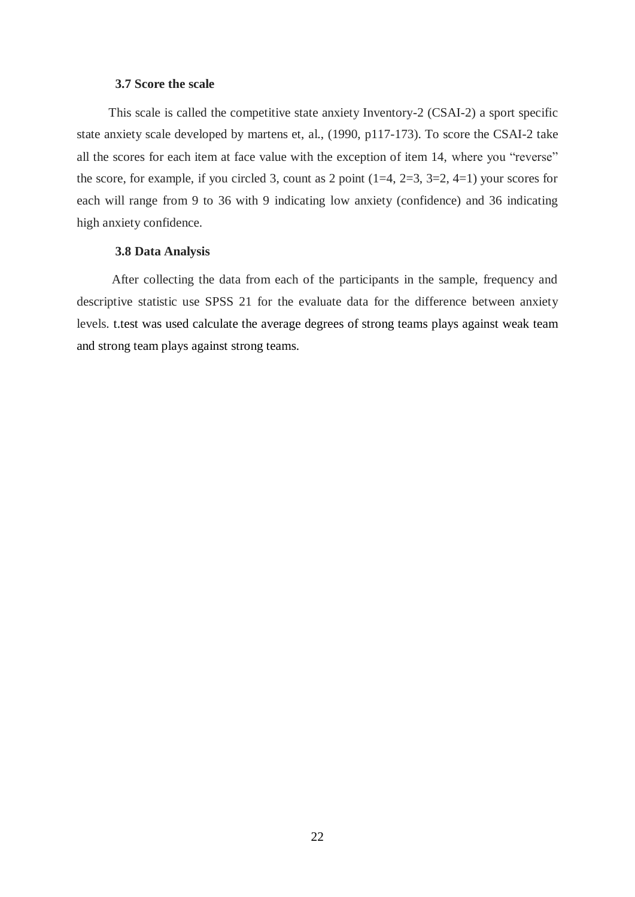# **3.7 Score the scale**

 This scale is called the competitive state anxiety Inventory-2 (CSAI-2) a sport specific state anxiety scale developed by martens et, al., (1990, p117-173). To score the CSAI-2 take all the scores for each item at face value with the exception of item 14, where you "reverse" the score, for example, if you circled 3, count as 2 point  $(1=4, 2=3, 3=2, 4=1)$  your scores for each will range from 9 to 36 with 9 indicating low anxiety (confidence) and 36 indicating high anxiety confidence.

# **3.8 Data Analysis**

 After collecting the data from each of the participants in the sample, frequency and descriptive statistic use SPSS 21 for the evaluate data for the difference between anxiety levels. t.test was used calculate the average degrees of strong teams plays against weak team and strong team plays against strong teams.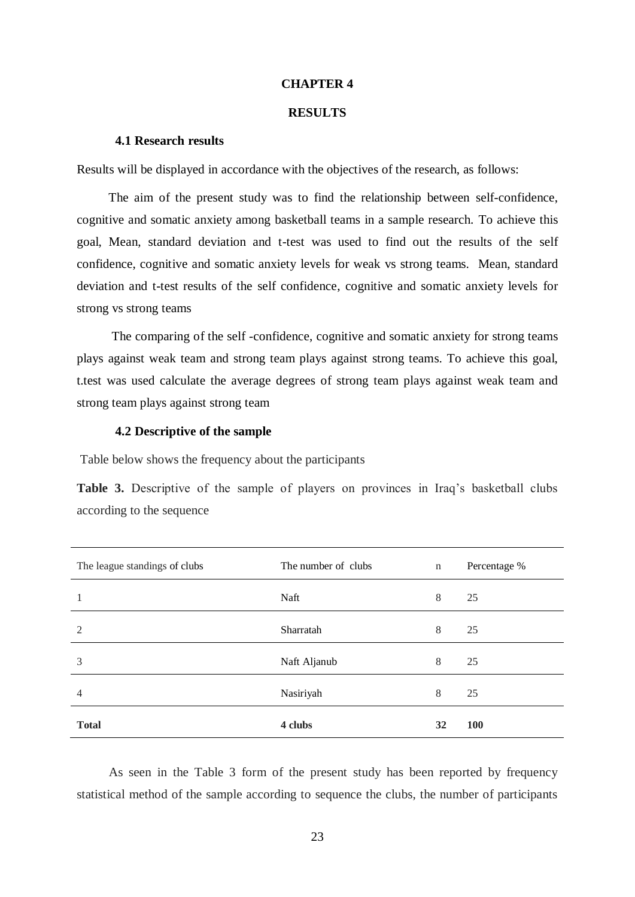# **CHAPTER 4**

# **RESULTS**

### **4.1 Research results**

Results will be displayed in accordance with the objectives of the research, as follows:

 The aim of the present study was to find the relationship between self-confidence, cognitive and somatic anxiety among basketball teams in a sample research. To achieve this goal, Mean, standard deviation and t-test was used to find out the results of the self confidence, cognitive and somatic anxiety levels for weak vs strong teams. Mean, standard deviation and t-test results of the self confidence, cognitive and somatic anxiety levels for strong vs strong teams

 The comparing of the self -confidence, cognitive and somatic anxiety for strong teams plays against weak team and strong team plays against strong teams. To achieve this goal, t.test was used calculate the average degrees of strong team plays against weak team and strong team plays against strong team

# **4.2 Descriptive of the sample**

Table below shows the frequency about the participants

Table 3. Descriptive of the sample of players on provinces in Iraq's basketball clubs according to the sequence

| The league standings of clubs | The number of clubs | $\mathbf n$ | Percentage % |
|-------------------------------|---------------------|-------------|--------------|
| 1                             | Naft                | 8           | 25           |
| $\overline{2}$                | Sharratah           | 8           | 25           |
| 3                             | Naft Aljanub        | 8           | 25           |
| $\overline{4}$                | Nasiriyah           | 8           | 25           |
| <b>Total</b>                  | 4 clubs             | 32          | <b>100</b>   |

 As seen in the Table 3 form of the present study has been reported by frequency statistical method of the sample according to sequence the clubs, the number of participants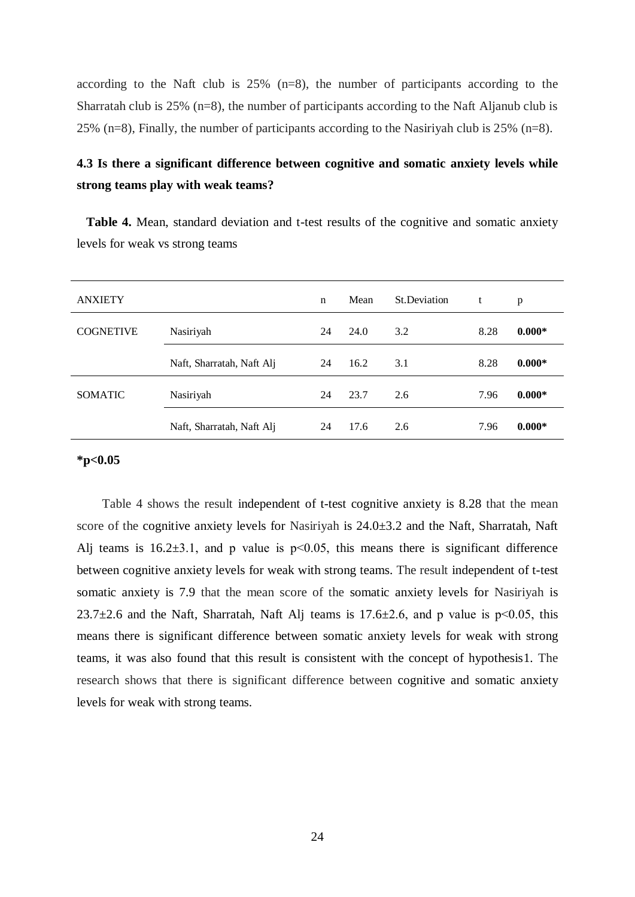according to the Naft club is 25% (n=8), the number of participants according to the Sharratah club is 25% (n=8), the number of participants according to the Naft Aljanub club is 25% (n=8), Finally, the number of participants according to the Nasiriyah club is 25% (n=8).

# **4.3 Is there a significant difference between cognitive and somatic anxiety levels while strong teams play with weak teams?**

 **Table 4.** Mean, standard deviation and t-test results of the cognitive and somatic anxiety levels for weak vs strong teams

| <b>ANXIETY</b>   |                           | n  | Mean | St.Deviation | t    | p        |
|------------------|---------------------------|----|------|--------------|------|----------|
| <b>COGNETIVE</b> | Nasiriyah                 | 24 | 24.0 | 3.2          | 8.28 | $0.000*$ |
|                  | Naft, Sharratah, Naft Alj | 24 | 16.2 | 3.1          | 8.28 | $0.000*$ |
| <b>SOMATIC</b>   | Nasiriyah                 | 24 | 23.7 | 2.6          | 7.96 | $0.000*$ |
|                  | Naft, Sharratah, Naft Alj | 24 | 17.6 | 2.6          | 7.96 | $0.000*$ |

# **\*p<0.05**

 Table 4 shows the result independent of t-test cognitive anxiety is 8.28 that the mean score of the cognitive anxiety levels for Nasiriyah is  $24.0\pm3.2$  and the Naft, Sharratah, Naft Alj teams is  $16.2\pm3.1$ , and p value is  $p<0.05$ , this means there is significant difference between cognitive anxiety levels for weak with strong teams. The result independent of t-test somatic anxiety is 7.9 that the mean score of the somatic anxiety levels for Nasiriyah is 23.7 $\pm$ 2.6 and the Naft, Sharratah, Naft Alj teams is 17.6 $\pm$ 2.6, and p value is p<0.05, this means there is significant difference between somatic anxiety levels for weak with strong teams, it was also found that this result is consistent with the concept of hypothesis1. The research shows that there is significant difference between cognitive and somatic anxiety levels for weak with strong teams.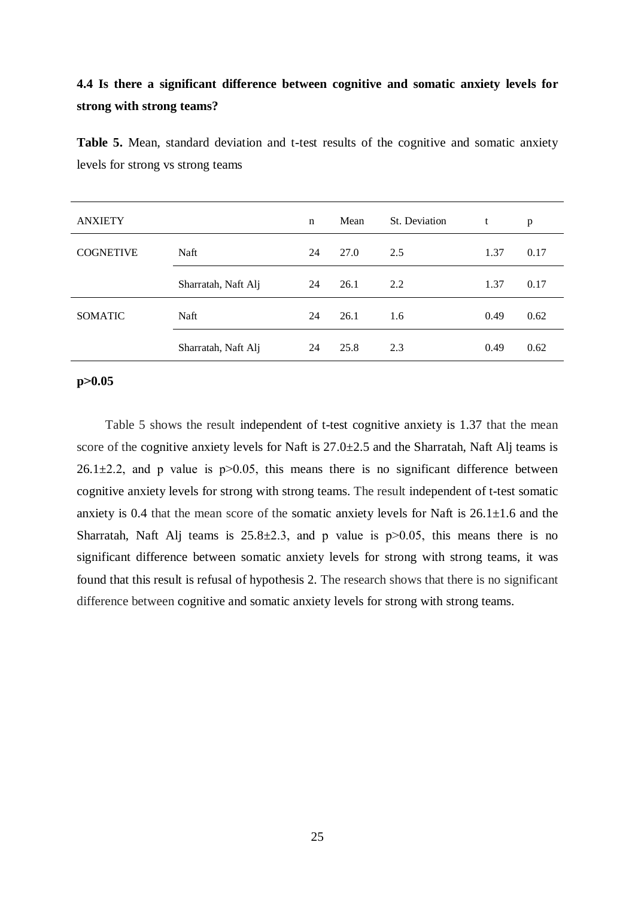# **4.4 Is there a significant difference between cognitive and somatic anxiety levels for strong with strong teams?**

| <b>ANXIETY</b>   |                     | $\mathbf n$ | Mean | St. Deviation | t    | p    |
|------------------|---------------------|-------------|------|---------------|------|------|
| <b>COGNETIVE</b> | Naft                | 24          | 27.0 | 2.5           | 1.37 | 0.17 |
|                  | Sharratah, Naft Alj | 24          | 26.1 | 2.2           | 1.37 | 0.17 |
| <b>SOMATIC</b>   | Naft                | 24          | 26.1 | 1.6           | 0.49 | 0.62 |
|                  | Sharratah, Naft Alj | 24          | 25.8 | 2.3           | 0.49 | 0.62 |

**Table 5.** Mean, standard deviation and t-test results of the cognitive and somatic anxiety levels for strong vs strong teams

# **p˃0.05**

 Table 5 shows the result independent of t-test cognitive anxiety is 1.37 that the mean score of the cognitive anxiety levels for Naft is  $27.0\pm 2.5$  and the Sharratah, Naft Alj teams is 26.1 $\pm$ 2.2, and p value is p $>$ 0.05, this means there is no significant difference between cognitive anxiety levels for strong with strong teams. The result independent of t-test somatic anxiety is 0.4 that the mean score of the somatic anxiety levels for Naft is  $26.1 \pm 1.6$  and the Sharratah, Naft Alj teams is  $25.8\pm2.3$ , and p value is p $>0.05$ , this means there is no significant difference between somatic anxiety levels for strong with strong teams, it was found that this result is refusal of hypothesis 2. The research shows that there is no significant difference between cognitive and somatic anxiety levels for strong with strong teams.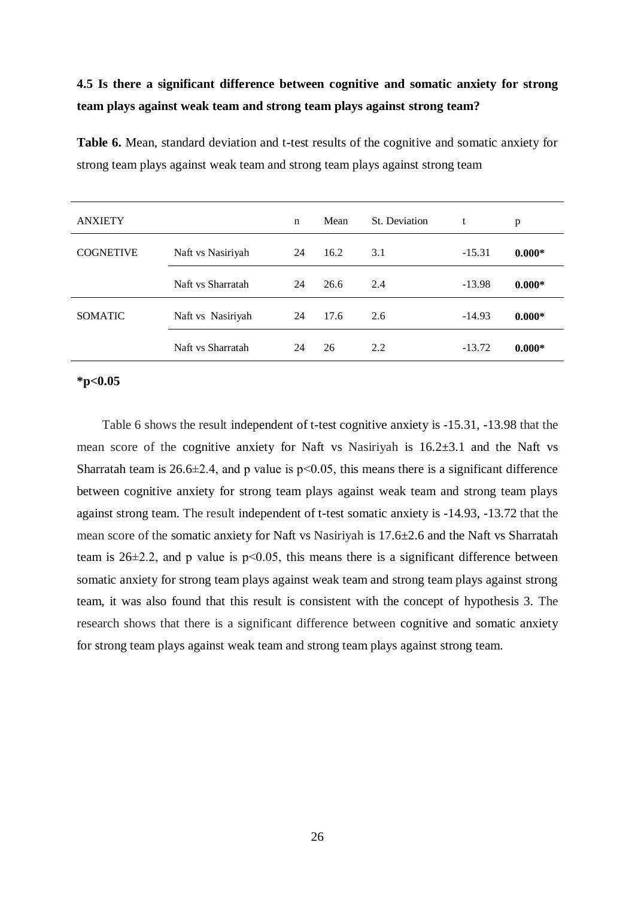# **4.5 Is there a significant difference between cognitive and somatic anxiety for strong team plays against weak team and strong team plays against strong team?**

| <b>ANXIETY</b>   |                   | n  | Mean | St. Deviation | t        | p        |
|------------------|-------------------|----|------|---------------|----------|----------|
| <b>COGNETIVE</b> | Naft vs Nasiriyah | 24 | 16.2 | 3.1           | $-15.31$ | $0.000*$ |
|                  | Naft vs Sharratah | 24 | 26.6 | 2.4           | $-13.98$ | $0.000*$ |
| <b>SOMATIC</b>   | Naft vs Nasiriyah | 24 | 17.6 | 2.6           | $-14.93$ | $0.000*$ |
|                  | Naft vs Sharratah | 24 | 26   | 2.2           | $-13.72$ | $0.000*$ |

**Table 6.** Mean, standard deviation and t-test results of the cognitive and somatic anxiety for strong team plays against weak team and strong team plays against strong team

# **\*p<0.05**

 Table 6 shows the result independent of t-test cognitive anxiety is -15.31, -13.98 that the mean score of the cognitive anxiety for Naft vs Nasiriyah is 16.2±3.1 and the Naft vs Sharratah team is 26.6 $\pm$ 2.4, and p value is p<0.05, this means there is a significant difference between cognitive anxiety for strong team plays against weak team and strong team plays against strong team. The result independent of t-test somatic anxiety is -14.93, -13.72 that the mean score of the somatic anxiety for Naft vs Nasiriyah is 17.6±2.6 and the Naft vs Sharratah team is  $26\pm2.2$ , and p value is  $p<0.05$ , this means there is a significant difference between somatic anxiety for strong team plays against weak team and strong team plays against strong team, it was also found that this result is consistent with the concept of hypothesis 3. The research shows that there is a significant difference between cognitive and somatic anxiety for strong team plays against weak team and strong team plays against strong team.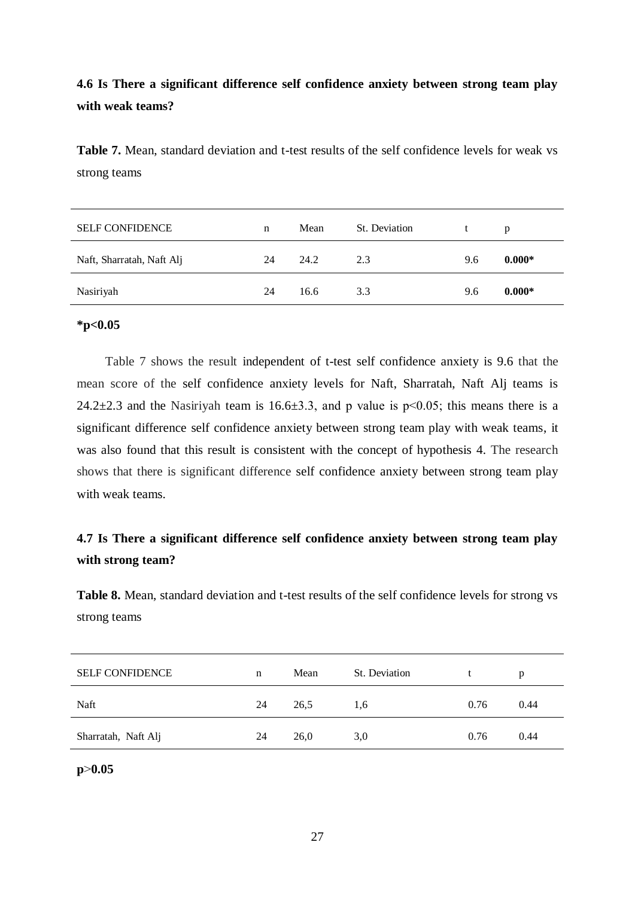# **4.6 Is There a significant difference self confidence anxiety between strong team play with weak teams?**

**Table 7.** Mean, standard deviation and t-test results of the self confidence levels for weak vs strong teams

| <b>SELF CONFIDENCE</b>    | n  | Mean | St. Deviation |     | D        |
|---------------------------|----|------|---------------|-----|----------|
| Naft, Sharratah, Naft Alj | 24 | 24.2 | 2.3           | 9.6 | $0.000*$ |
| Nasiriyah                 | 24 | 16.6 | 3.3           | 9.6 | $0.000*$ |

# **\*p<0.05**

 Table 7 shows the result independent of t-test self confidence anxiety is 9.6 that the mean score of the self confidence anxiety levels for Naft, Sharratah, Naft Alj teams is 24.2 $\pm$ 2.3 and the Nasiriyah team is 16.6 $\pm$ 3.3, and p value is p $\leq$ 0.05; this means there is a significant difference self confidence anxiety between strong team play with weak teams, it was also found that this result is consistent with the concept of hypothesis 4. The research shows that there is significant difference self confidence anxiety between strong team play with weak teams.

# **4.7 Is There a significant difference self confidence anxiety between strong team play with strong team?**

**Table 8.** Mean, standard deviation and t-test results of the self confidence levels for strong vs strong teams

| <b>SELF CONFIDENCE</b> | n  | Mean | St. Deviation |      | p    |
|------------------------|----|------|---------------|------|------|
| Naft                   | 24 | 26,5 | 1,6           | 0.76 | 0.44 |
| Sharratah, Naft Alj    | 24 | 26,0 | 3,0           | 0.76 | 0.44 |

# **p**˃**0.05**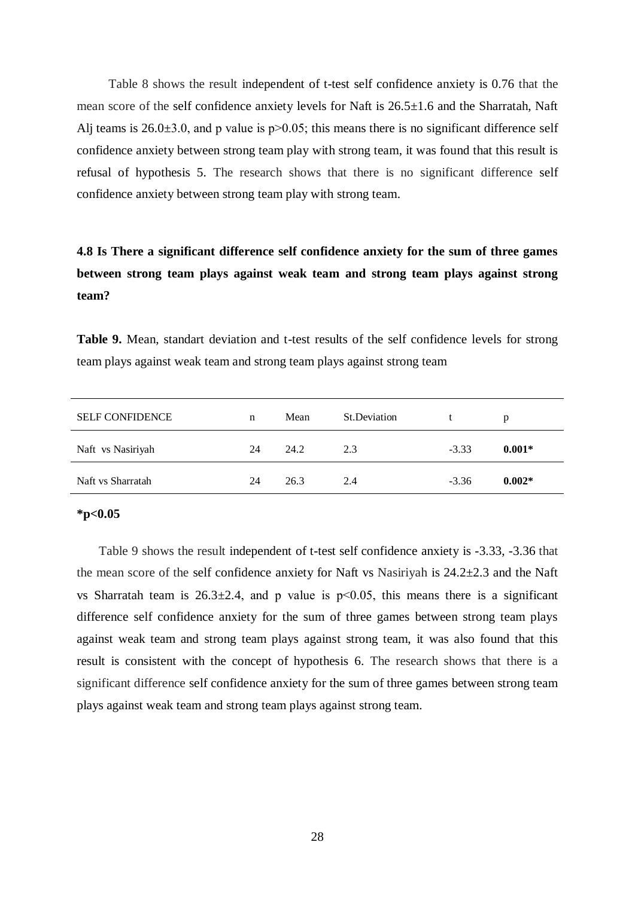Table 8 shows the result independent of t-test self confidence anxiety is 0.76 that the mean score of the self confidence anxiety levels for Naft is 26.5±1.6 and the Sharratah, Naft Alj teams is  $26.0\pm3.0$ , and p value is p $>0.05$ ; this means there is no significant difference self confidence anxiety between strong team play with strong team, it was found that this result is refusal of hypothesis 5. The research shows that there is no significant difference self confidence anxiety between strong team play with strong team.

# **4.8 Is There a significant difference self confidence anxiety for the sum of three games between strong team plays against weak team and strong team plays against strong team?**

**Table 9.** Mean, standart deviation and t-test results of the self confidence levels for strong team plays against weak team and strong team plays against strong team

| <b>SELF CONFIDENCE</b> | n  | Mean | St.Deviation |         | p        |
|------------------------|----|------|--------------|---------|----------|
| Naft vs Nasiriyah      | 24 | 24.2 | 2.3          | $-3.33$ | $0.001*$ |
| Naft vs Sharratah      | 24 | 26.3 | 2.4          | $-3.36$ | $0.002*$ |

### **\*p<0.05**

 Table 9 shows the result independent of t-test self confidence anxiety is -3.33, -3.36 that the mean score of the self confidence anxiety for Naft vs Nasiriyah is 24.2±2.3 and the Naft vs Sharratah team is  $26.3 \pm 2.4$ , and p value is  $p \le 0.05$ , this means there is a significant difference self confidence anxiety for the sum of three games between strong team plays against weak team and strong team plays against strong team, it was also found that this result is consistent with the concept of hypothesis 6. The research shows that there is a significant difference self confidence anxiety for the sum of three games between strong team plays against weak team and strong team plays against strong team.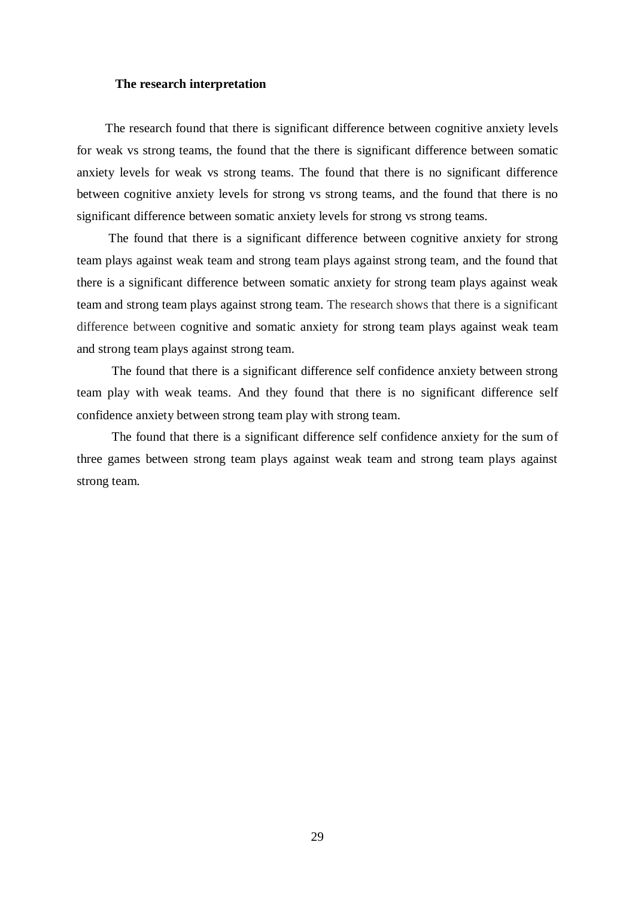## **The research interpretation**

 The research found that there is significant difference between cognitive anxiety levels for weak vs strong teams, the found that the there is significant difference between somatic anxiety levels for weak vs strong teams. The found that there is no significant difference between cognitive anxiety levels for strong vs strong teams, and the found that there is no significant difference between somatic anxiety levels for strong vs strong teams.

 The found that there is a significant difference between cognitive anxiety for strong team plays against weak team and strong team plays against strong team, and the found that there is a significant difference between somatic anxiety for strong team plays against weak team and strong team plays against strong team. The research shows that there is a significant difference between cognitive and somatic anxiety for strong team plays against weak team and strong team plays against strong team.

 The found that there is a significant difference self confidence anxiety between strong team play with weak teams. And they found that there is no significant difference self confidence anxiety between strong team play with strong team.

 The found that there is a significant difference self confidence anxiety for the sum of three games between strong team plays against weak team and strong team plays against strong team.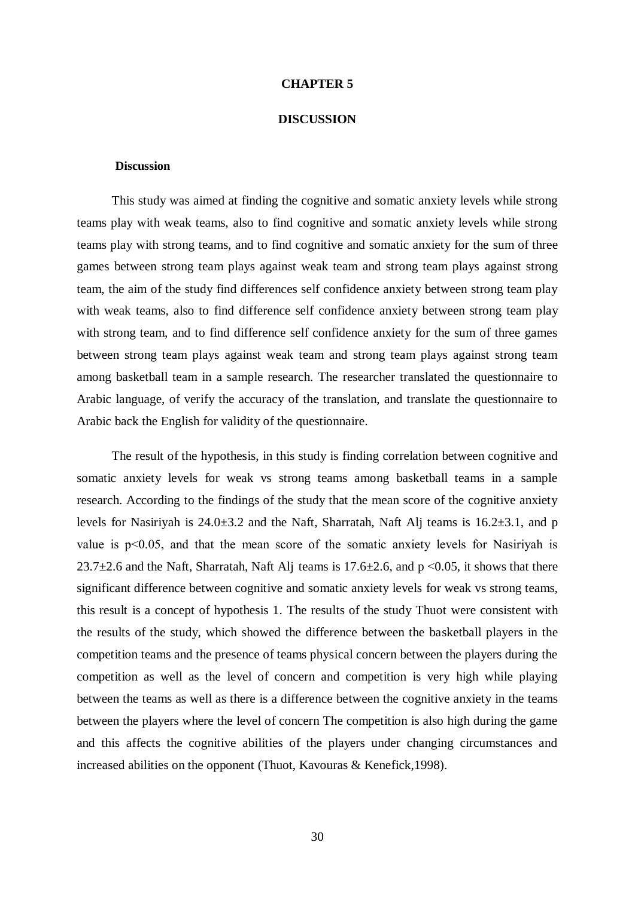#### **CHAPTER 5**

#### **DISCUSSION**

#### **Discussion**

 This study was aimed at finding the cognitive and somatic anxiety levels while strong teams play with weak teams, also to find cognitive and somatic anxiety levels while strong teams play with strong teams, and to find cognitive and somatic anxiety for the sum of three games between strong team plays against weak team and strong team plays against strong team, the aim of the study find differences self confidence anxiety between strong team play with weak teams, also to find difference self confidence anxiety between strong team play with strong team, and to find difference self confidence anxiety for the sum of three games between strong team plays against weak team and strong team plays against strong team among basketball team in a sample research. The researcher translated the questionnaire to Arabic language, of verify the accuracy of the translation, and translate the questionnaire to Arabic back the English for validity of the questionnaire.

 The result of the hypothesis, in this study is finding correlation between cognitive and somatic anxiety levels for weak vs strong teams among basketball teams in a sample research. According to the findings of the study that the mean score of the cognitive anxiety levels for Nasiriyah is 24.0±3.2 and the Naft, Sharratah, Naft Alj teams is 16.2±3.1, and p value is p˂0.05, and that the mean score of the somatic anxiety levels for Nasiriyah is 23.7 $\pm$ 2.6 and the Naft, Sharratah, Naft Alj teams is 17.6 $\pm$ 2.6, and p < 0.05, it shows that there significant difference between cognitive and somatic anxiety levels for weak vs strong teams, this result is a concept of hypothesis 1. The results of the study Thuot were consistent with the results of the study, which showed the difference between the basketball players in the competition teams and the presence of teams physical concern between the players during the competition as well as the level of concern and competition is very high while playing between the teams as well as there is a difference between the cognitive anxiety in the teams between the players where the level of concern The competition is also high during the game and this affects the cognitive abilities of the players under changing circumstances and increased abilities on the opponent (Thuot, Kavouras & Kenefick,1998).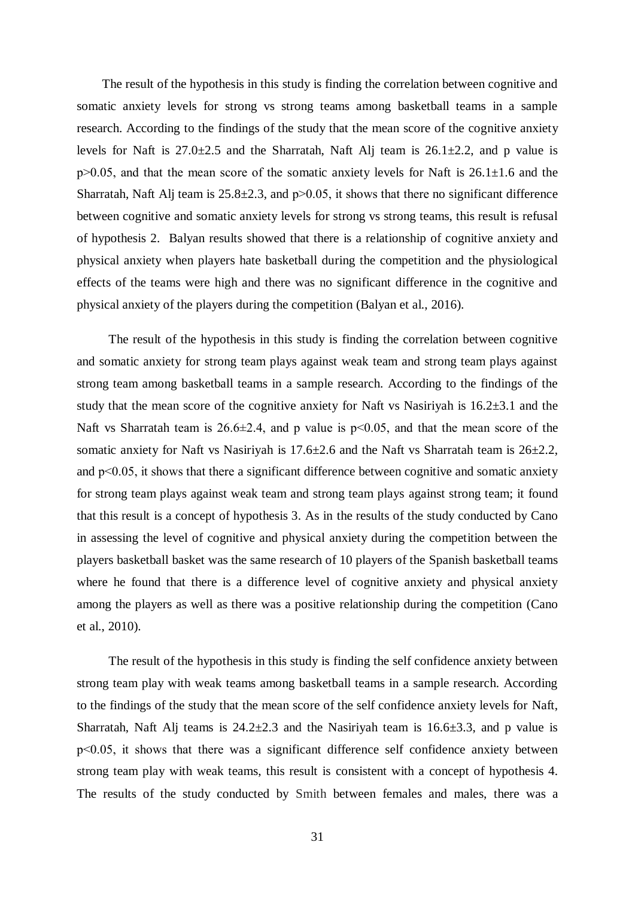The result of the hypothesis in this study is finding the correlation between cognitive and somatic anxiety levels for strong vs strong teams among basketball teams in a sample research. According to the findings of the study that the mean score of the cognitive anxiety levels for Naft is  $27.0\pm 2.5$  and the Sharratah, Naft Alj team is  $26.1\pm 2.2$ , and p value is  $p>0.05$ , and that the mean score of the somatic anxiety levels for Naft is 26.1 $\pm$ 1.6 and the Sharratah, Naft Alj team is  $25.8 \pm 2.3$ , and  $p > 0.05$ , it shows that there no significant difference between cognitive and somatic anxiety levels for strong vs strong teams, this result is refusal of hypothesis 2. Balyan results showed that there is a relationship of cognitive anxiety and physical anxiety when players hate basketball during the competition and the physiological effects of the teams were high and there was no significant difference in the cognitive and physical anxiety of the players during the competition (Balyan et al., 2016).

 The result of the hypothesis in this study is finding the correlation between cognitive and somatic anxiety for strong team plays against weak team and strong team plays against strong team among basketball teams in a sample research. According to the findings of the study that the mean score of the cognitive anxiety for Naft vs Nasiriyah is 16.2±3.1 and the Naft vs Sharratah team is  $26.6\pm2.4$ , and p value is p $\leq 0.05$ , and that the mean score of the somatic anxiety for Naft vs Nasiriyah is  $17.6 \pm 2.6$  and the Naft vs Sharratah team is  $26 \pm 2.2$ , and  $p<0.05$ , it shows that there a significant difference between cognitive and somatic anxiety for strong team plays against weak team and strong team plays against strong team; it found that this result is a concept of hypothesis 3. As in the results of the study conducted by Cano in assessing the level of cognitive and physical anxiety during the competition between the players basketball basket was the same research of 10 players of the Spanish basketball teams where he found that there is a difference level of cognitive anxiety and physical anxiety among the players as well as there was a positive relationship during the competition (Cano et al., 2010).

 The result of the hypothesis in this study is finding the self confidence anxiety between strong team play with weak teams among basketball teams in a sample research. According to the findings of the study that the mean score of the self confidence anxiety levels for Naft, Sharratah, Naft Alj teams is  $24.2 \pm 2.3$  and the Nasiriyah team is  $16.6 \pm 3.3$ , and p value is p˂0.05, it shows that there was a significant difference self confidence anxiety between strong team play with weak teams, this result is consistent with a concept of hypothesis 4. The results of the study conducted by Smith between females and males, there was a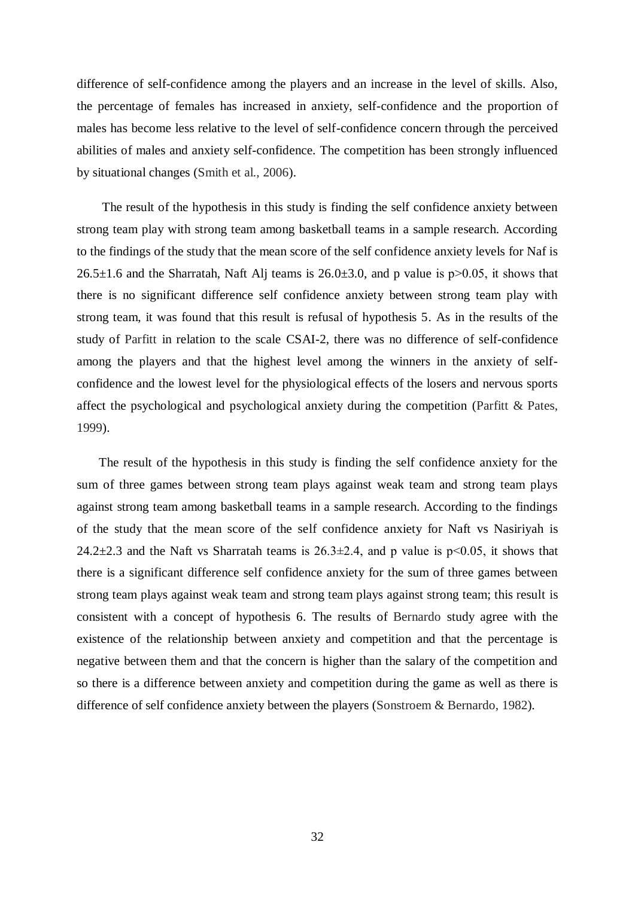difference of self-confidence among the players and an increase in the level of skills. Also, the percentage of females has increased in anxiety, self-confidence and the proportion of males has become less relative to the level of self-confidence concern through the perceived abilities of males and anxiety self-confidence. The competition has been strongly influenced by situational changes (Smith et al., 2006).

 The result of the hypothesis in this study is finding the self confidence anxiety between strong team play with strong team among basketball teams in a sample research. According to the findings of the study that the mean score of the self confidence anxiety levels for Naf is  $26.5\pm1.6$  and the Sharratah, Naft Alj teams is  $26.0\pm3.0$ , and p value is p $>0.05$ , it shows that there is no significant difference self confidence anxiety between strong team play with strong team, it was found that this result is refusal of hypothesis 5. As in the results of the study of Parfitt in relation to the scale CSAI-2, there was no difference of self-confidence among the players and that the highest level among the winners in the anxiety of selfconfidence and the lowest level for the physiological effects of the losers and nervous sports affect the psychological and psychological anxiety during the competition (Parfitt & Pates, 1999).

 The result of the hypothesis in this study is finding the self confidence anxiety for the sum of three games between strong team plays against weak team and strong team plays against strong team among basketball teams in a sample research. According to the findings of the study that the mean score of the self confidence anxiety for Naft vs Nasiriyah is 24.2 $\pm$ 2.3 and the Naft vs Sharratah teams is 26.3 $\pm$ 2.4, and p value is p<0.05, it shows that there is a significant difference self confidence anxiety for the sum of three games between strong team plays against weak team and strong team plays against strong team; this result is consistent with a concept of hypothesis 6. The results of Bernardo study agree with the existence of the relationship between anxiety and competition and that the percentage is negative between them and that the concern is higher than the salary of the competition and so there is a difference between anxiety and competition during the game as well as there is difference of self confidence anxiety between the players (Sonstroem & Bernardo, 1982).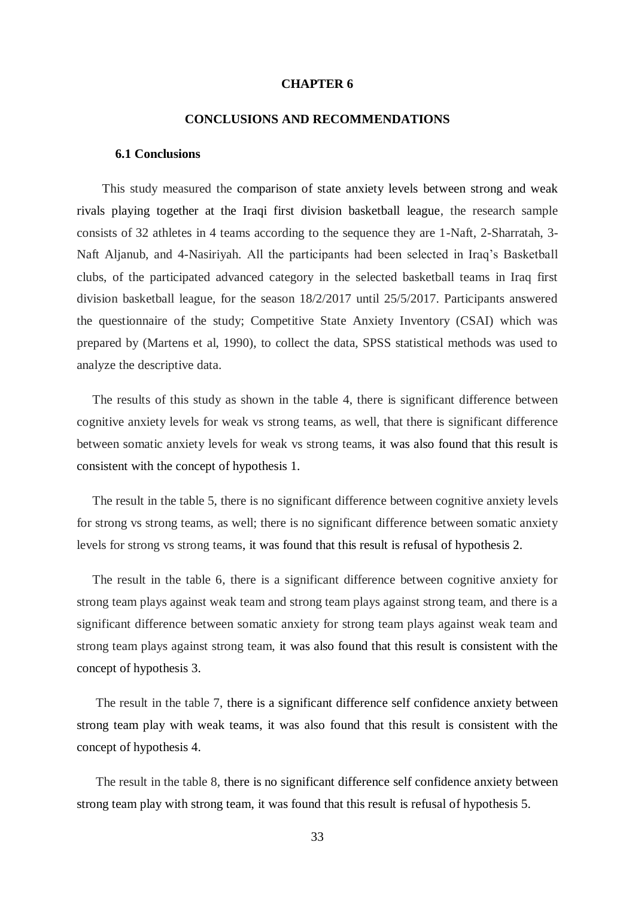### **CHAPTER 6**

# **CONCLUSIONS AND RECOMMENDATIONS**

#### **6.1 Conclusions**

 This study measured the comparison of state anxiety levels between strong and weak rivals playing together at the Iraqi first division basketball league, the research sample consists of 32 athletes in 4 teams according to the sequence they are 1-Naft, 2-Sharratah, 3- Naft Aljanub, and 4-Nasiriyah. All the participants had been selected in Iraq's Basketball clubs, of the participated advanced category in the selected basketball teams in Iraq first division basketball league, for the season 18/2/2017 until 25/5/2017. Participants answered the questionnaire of the study; Competitive State Anxiety Inventory (CSAI) which was prepared by (Martens et al, 1990), to collect the data, SPSS statistical methods was used to analyze the descriptive data.

 The results of this study as shown in the table 4, there is significant difference between cognitive anxiety levels for weak vs strong teams, as well, that there is significant difference between somatic anxiety levels for weak vs strong teams, it was also found that this result is consistent with the concept of hypothesis 1.

 The result in the table 5, there is no significant difference between cognitive anxiety levels for strong vs strong teams, as well; there is no significant difference between somatic anxiety levels for strong vs strong teams, it was found that this result is refusal of hypothesis 2.

 The result in the table 6, there is a significant difference between cognitive anxiety for strong team plays against weak team and strong team plays against strong team, and there is a significant difference between somatic anxiety for strong team plays against weak team and strong team plays against strong team, it was also found that this result is consistent with the concept of hypothesis 3.

 The result in the table 7, there is a significant difference self confidence anxiety between strong team play with weak teams, it was also found that this result is consistent with the concept of hypothesis 4.

 The result in the table 8, there is no significant difference self confidence anxiety between strong team play with strong team, it was found that this result is refusal of hypothesis 5.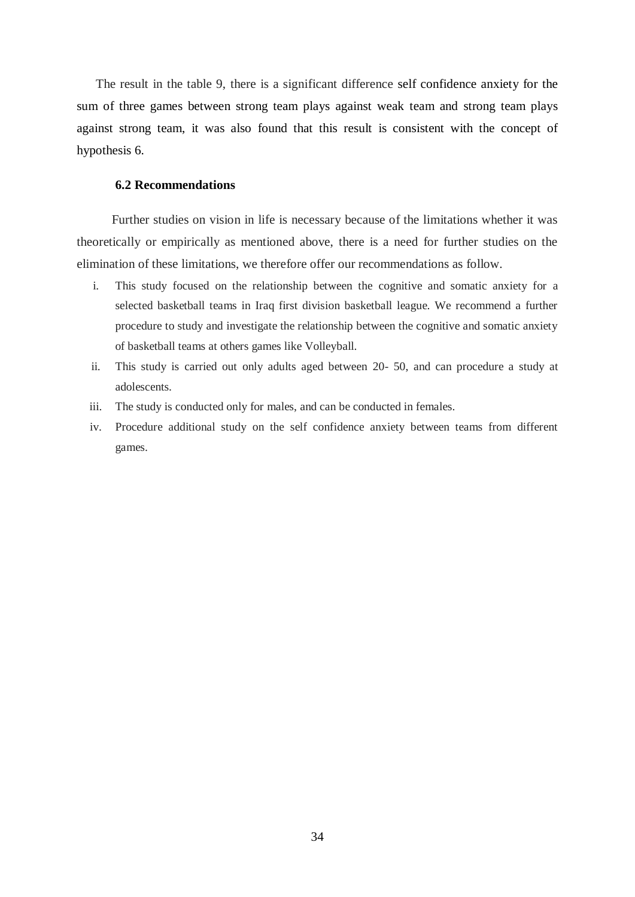The result in the table 9, there is a significant difference self confidence anxiety for the sum of three games between strong team plays against weak team and strong team plays against strong team, it was also found that this result is consistent with the concept of hypothesis 6.

### **6.2 Recommendations**

 Further studies on vision in life is necessary because of the limitations whether it was theoretically or empirically as mentioned above, there is a need for further studies on the elimination of these limitations, we therefore offer our recommendations as follow.

- i. This study focused on the relationship between the cognitive and somatic anxiety for a selected basketball teams in Iraq first division basketball league. We recommend a further procedure to study and investigate the relationship between the cognitive and somatic anxiety of basketball teams at others games like Volleyball.
- ii. This study is carried out only adults aged between 20- 50, and can procedure a study at adolescents.
- iii. The study is conducted only for males, and can be conducted in females.
- iv. Procedure additional study on the self confidence anxiety between teams from different games.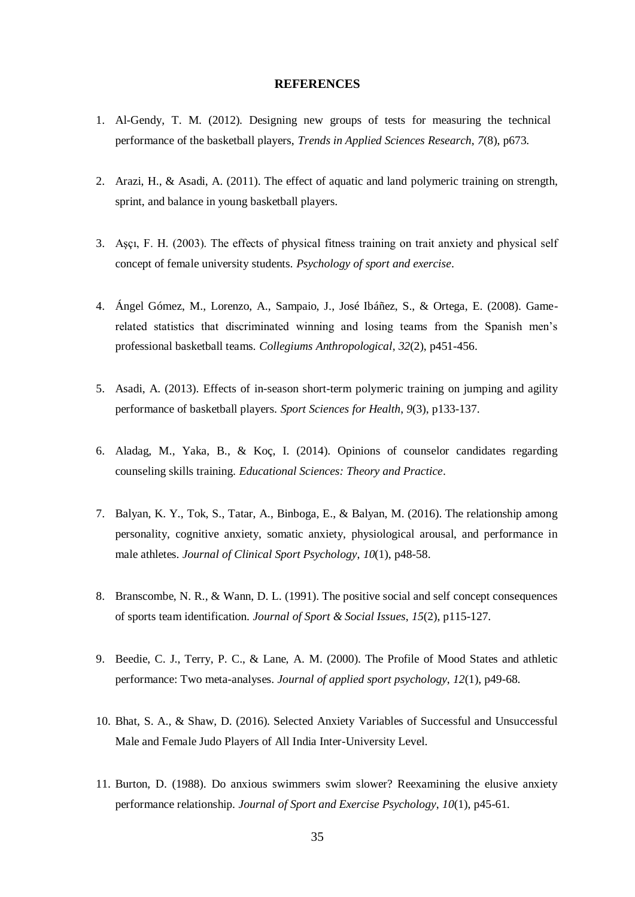# **REFERENCES**

- 1. Al-Gendy, T. M. (2012). Designing new groups of tests for measuring the technical performance of the basketball players, *Trends in Applied Sciences Research*, *7*(8), p673.
- 2. Arazi, H., & Asadi, A. (2011). The effect of aquatic and land polymeric training on strength, sprint, and balance in young basketball players.
- 3. Aşçı, F. H. (2003). The effects of physical fitness training on trait anxiety and physical self concept of female university students. *Psychology of sport and exercise*.
- 4. Ángel Gómez, M., Lorenzo, A., Sampaio, J., José Ibáñez, S., & Ortega, E. (2008). Gamerelated statistics that discriminated winning and losing teams from the Spanish men's professional basketball teams. *Collegiums Anthropological*, *32*(2), p451-456.
- 5. Asadi, A. (2013). Effects of in-season short-term polymeric training on jumping and agility performance of basketball players. *Sport Sciences for Health*, *9*(3), p133-137.
- 6. Aladag, M., Yaka, B., & Koç, I. (2014). Opinions of counselor candidates regarding counseling skills training. *Educational Sciences: Theory and Practice*.
- 7. Balyan, K. Y., Tok, S., Tatar, A., Binboga, E., & Balyan, M. (2016). The relationship among personality, cognitive anxiety, somatic anxiety, physiological arousal, and performance in male athletes. *Journal of Clinical Sport Psychology*, *10*(1), p48-58.
- 8. Branscombe, N. R., & Wann, D. L. (1991). The positive social and self concept consequences of sports team identification. *Journal of Sport & Social Issues*, *15*(2), p115-127.
- 9. Beedie, C. J., Terry, P. C., & Lane, A. M. (2000). The Profile of Mood States and athletic performance: Two meta-analyses. *Journal of applied sport psychology*, *12*(1), p49-68.
- 10. Bhat, S. A., & Shaw, D. (2016). Selected Anxiety Variables of Successful and Unsuccessful Male and Female Judo Players of All India Inter-University Level.
- 11. Burton, D. (1988). Do anxious swimmers swim slower? Reexamining the elusive anxiety performance relationship. *Journal of Sport and Exercise Psychology*, *10*(1), p45-61.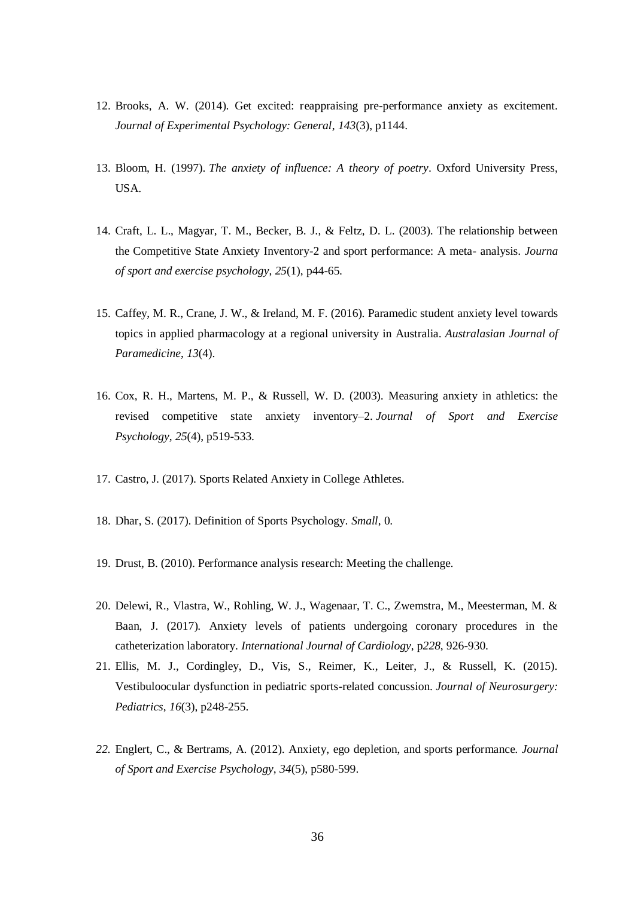- 12. Brooks, A. W. (2014). Get excited: reappraising pre-performance anxiety as excitement. *Journal of Experimental Psychology: General*, *143*(3), p1144.
- 13. Bloom, H. (1997). *The anxiety of influence: A theory of poetry*. Oxford University Press, USA.
- 14. Craft, L. L., Magyar, T. M., Becker, B. J., & Feltz, D. L. (2003). The relationship between the Competitive State Anxiety Inventory-2 and sport performance: A meta- analysis. *Journa of sport and exercise psychology*, *25*(1), p44-65.
- 15. Caffey, M. R., Crane, J. W., & Ireland, M. F. (2016). Paramedic student anxiety level towards topics in applied pharmacology at a regional university in Australia. *Australasian Journal of Paramedicine*, *13*(4).
- 16. Cox, R. H., Martens, M. P., & Russell, W. D. (2003). Measuring anxiety in athletics: the revised competitive state anxiety inventory–2. *Journal of Sport and Exercise Psychology*, *25*(4), p519-533.
- 17. Castro, J. (2017). Sports Related Anxiety in College Athletes.
- 18. Dhar, S. (2017). Definition of Sports Psychology. *Small*, 0.
- 19. Drust, B. (2010). Performance analysis research: Meeting the challenge.
- 20. Delewi, R., Vlastra, W., Rohling, W. J., Wagenaar, T. C., Zwemstra, M., Meesterman, M. & Baan, J. (2017). Anxiety levels of patients undergoing coronary procedures in the catheterization laboratory. *International Journal of Cardiology*, p*228*, 926-930.
- 21. Ellis, M. J., Cordingley, D., Vis, S., Reimer, K., Leiter, J., & Russell, K. (2015). Vestibuloocular dysfunction in pediatric sports-related concussion. *Journal of Neurosurgery: Pediatrics*, *16*(3), p248-255.
- *22.* Englert, C., & Bertrams, A. (2012). Anxiety, ego depletion, and sports performance. *Journal of Sport and Exercise Psychology*, *34*(5), p580-599.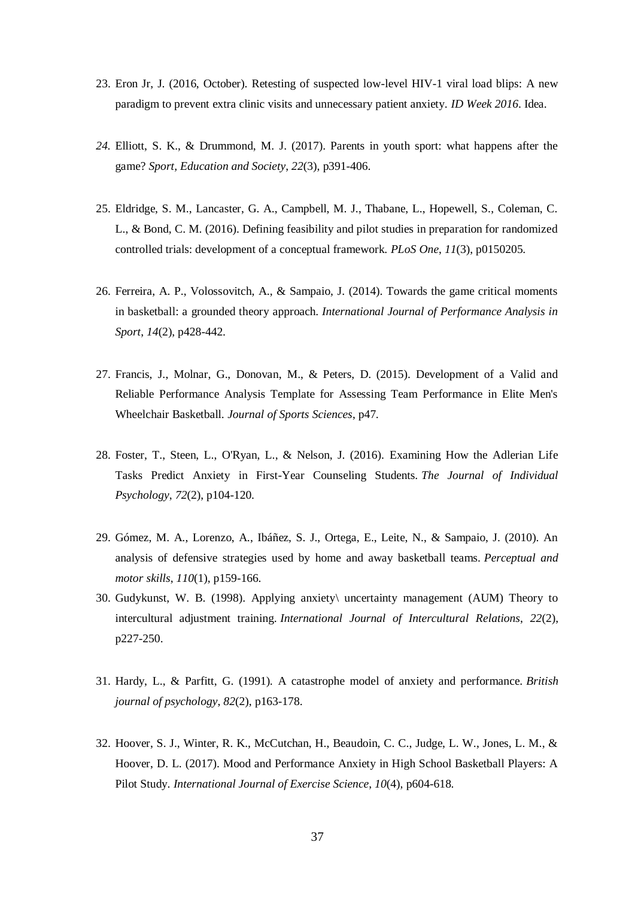- 23. Eron Jr, J. (2016, October). Retesting of suspected low-level HIV-1 viral load blips: A new paradigm to prevent extra clinic visits and unnecessary patient anxiety. *ID Week 2016*. Idea.
- *24.* Elliott, S. K., & Drummond, M. J. (2017). Parents in youth sport: what happens after the game? *Sport, Education and Society*, *22*(3), p391-406.
- 25. Eldridge, S. M., Lancaster, G. A., Campbell, M. J., Thabane, L., Hopewell, S., Coleman, C. L., & Bond, C. M. (2016). Defining feasibility and pilot studies in preparation for randomized controlled trials: development of a conceptual framework. *PLoS One*, *11*(3), p0150205.
- 26. Ferreira, A. P., Volossovitch, A., & Sampaio, J. (2014). Towards the game critical moments in basketball: a grounded theory approach. *International Journal of Performance Analysis in Sport*, *14*(2), p428-442.
- 27. Francis, J., Molnar, G., Donovan, M., & Peters, D. (2015). Development of a Valid and Reliable Performance Analysis Template for Assessing Team Performance in Elite Men's Wheelchair Basketball. *Journal of Sports Sciences*, p47.
- 28. Foster, T., Steen, L., O'Ryan, L., & Nelson, J. (2016). Examining How the Adlerian Life Tasks Predict Anxiety in First-Year Counseling Students. *The Journal of Individual Psychology*, *72*(2), p104-120.
- 29. Gómez, M. A., Lorenzo, A., Ibáñez, S. J., Ortega, E., Leite, N., & Sampaio, J. (2010). An analysis of defensive strategies used by home and away basketball teams. *Perceptual and motor skills*, *110*(1), p159-166.
- 30. Gudykunst, W. B. (1998). Applying anxiety\ uncertainty management (AUM) Theory to intercultural adjustment training. *International Journal of Intercultural Relations*, *22*(2), p227-250.
- 31. Hardy, L., & Parfitt, G. (1991). A catastrophe model of anxiety and performance. *British journal of psychology*, *82*(2), p163-178.
- 32. Hoover, S. J., Winter, R. K., McCutchan, H., Beaudoin, C. C., Judge, L. W., Jones, L. M., & Hoover, D. L. (2017). Mood and Performance Anxiety in High School Basketball Players: A Pilot Study. *International Journal of Exercise Science*, *10*(4), p604-618.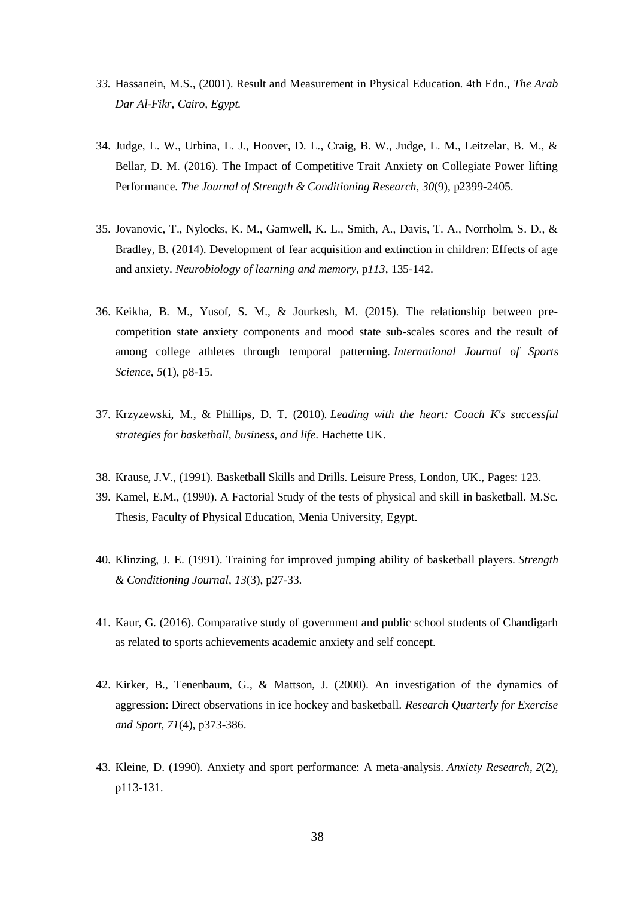- *33.* Hassanein, M.S., (2001). Result and Measurement in Physical Education. 4th Edn., *The Arab Dar Al-Fikr, Cairo, Egypt.*
- 34. Judge, L. W., Urbina, L. J., Hoover, D. L., Craig, B. W., Judge, L. M., Leitzelar, B. M., & Bellar, D. M. (2016). The Impact of Competitive Trait Anxiety on Collegiate Power lifting Performance. *The Journal of Strength & Conditioning Research*, *30*(9), p2399-2405.
- 35. Jovanovic, T., Nylocks, K. M., Gamwell, K. L., Smith, A., Davis, T. A., Norrholm, S. D., & Bradley, B. (2014). Development of fear acquisition and extinction in children: Effects of age and anxiety. *Neurobiology of learning and memory*, p*113*, 135-142.
- 36. Keikha, B. M., Yusof, S. M., & Jourkesh, M. (2015). The relationship between precompetition state anxiety components and mood state sub-scales scores and the result of among college athletes through temporal patterning. *International Journal of Sports Science*, *5*(1), p8-15.
- 37. Krzyzewski, M., & Phillips, D. T. (2010). *Leading with the heart: Coach K's successful strategies for basketball, business, and life*. Hachette UK.
- 38. Krause, J.V., (1991). Basketball Skills and Drills. Leisure Press, London, UK., Pages: 123.
- 39. Kamel, E.M., (1990). A Factorial Study of the tests of physical and skill in basketball. M.Sc. Thesis, Faculty of Physical Education, Menia University, Egypt.
- 40. Klinzing, J. E. (1991). Training for improved jumping ability of basketball players. *Strength & Conditioning Journal*, *13*(3), p27-33.
- 41. Kaur, G. (2016). Comparative study of government and public school students of Chandigarh as related to sports achievements academic anxiety and self concept.
- 42. Kirker, B., Tenenbaum, G., & Mattson, J. (2000). An investigation of the dynamics of aggression: Direct observations in ice hockey and basketball. *Research Quarterly for Exercise and Sport*, *71*(4), p373-386.
- 43. Kleine, D. (1990). Anxiety and sport performance: A meta-analysis. *Anxiety Research*, *2*(2), p113-131.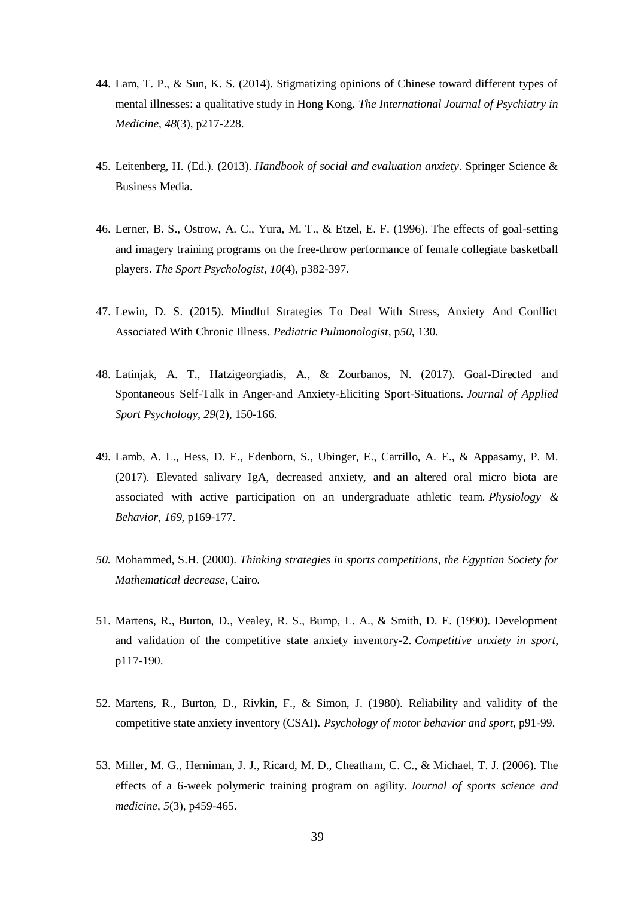- 44. Lam, T. P., & Sun, K. S. (2014). Stigmatizing opinions of Chinese toward different types of mental illnesses: a qualitative study in Hong Kong. *The International Journal of Psychiatry in Medicine*, *48*(3), p217-228.
- 45. Leitenberg, H. (Ed.). (2013). *Handbook of social and evaluation anxiety*. Springer Science & Business Media.
- 46. Lerner, B. S., Ostrow, A. C., Yura, M. T., & Etzel, E. F. (1996). The effects of goal-setting and imagery training programs on the free-throw performance of female collegiate basketball players. *The Sport Psychologist*, *10*(4), p382-397.
- 47. Lewin, D. S. (2015). Mindful Strategies To Deal With Stress, Anxiety And Conflict Associated With Chronic Illness. *Pediatric Pulmonologist*, p*50*, 130.
- 48. Latinjak, A. T., Hatzigeorgiadis, A., & Zourbanos, N. (2017). Goal-Directed and Spontaneous Self-Talk in Anger-and Anxiety-Eliciting Sport-Situations. *Journal of Applied Sport Psychology*, *29*(2), 150-166.
- 49. Lamb, A. L., Hess, D. E., Edenborn, S., Ubinger, E., Carrillo, A. E., & Appasamy, P. M. (2017). Elevated salivary IgA, decreased anxiety, and an altered oral micro biota are associated with active participation on an undergraduate athletic team. *Physiology & Behavior*, *169*, p169-177.
- *50.* Mohammed, S.H. (2000). *Thinking strategies in sports competitions, the Egyptian Society for Mathematical decrease*, Cairo.
- 51. Martens, R., Burton, D., Vealey, R. S., Bump, L. A., & Smith, D. E. (1990). Development and validation of the competitive state anxiety inventory-2. *Competitive anxiety in sport*, p117-190.
- 52. Martens, R., Burton, D., Rivkin, F., & Simon, J. (1980). Reliability and validity of the competitive state anxiety inventory (CSAI). *Psychology of motor behavior and sport*, p91-99.
- 53. Miller, M. G., Herniman, J. J., Ricard, M. D., Cheatham, C. C., & Michael, T. J. (2006). The effects of a 6-week polymeric training program on agility. *Journal of sports science and medicine*, *5*(3), p459-465.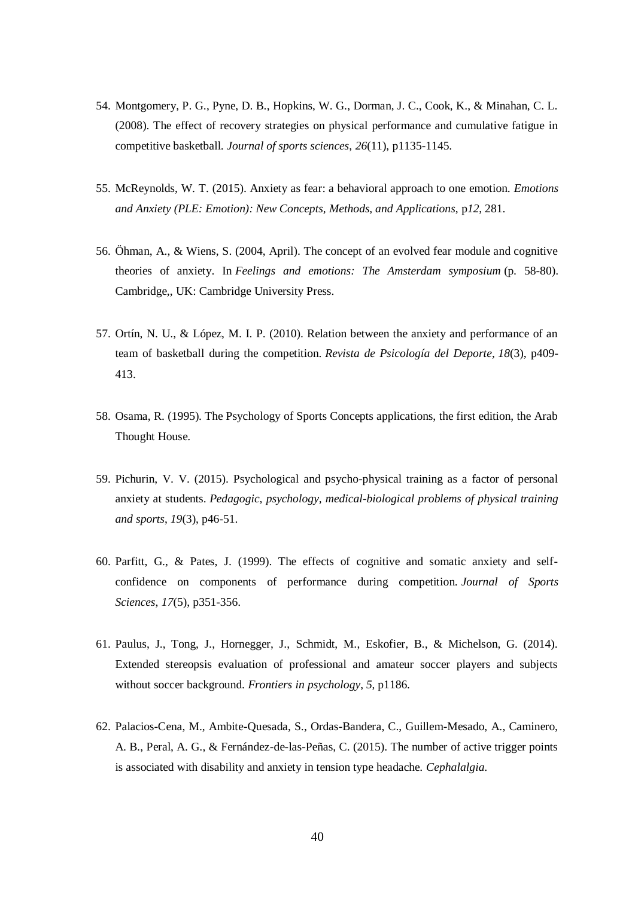- 54. Montgomery, P. G., Pyne, D. B., Hopkins, W. G., Dorman, J. C., Cook, K., & Minahan, C. L. (2008). The effect of recovery strategies on physical performance and cumulative fatigue in competitive basketball. *Journal of sports sciences*, *26*(11), p1135-1145.
- 55. McReynolds, W. T. (2015). Anxiety as fear: a behavioral approach to one emotion. *Emotions and Anxiety (PLE: Emotion): New Concepts, Methods, and Applications*, p*12*, 281.
- 56. Öhman, A., & Wiens, S. (2004, April). The concept of an evolved fear module and cognitive theories of anxiety. In *Feelings and emotions: The Amsterdam symposium* (p. 58-80). Cambridge,, UK: Cambridge University Press.
- 57. Ortín, N. U., & López, M. I. P. (2010). Relation between the anxiety and performance of an team of basketball during the competition. *Revista de Psicología del Deporte*, *18*(3), p409- 413.
- 58. Osama, R. (1995). The Psychology of Sports Concepts applications, the first edition, the Arab Thought House.
- 59. Pichurin, V. V. (2015). Psychological and psycho-physical training as a factor of personal anxiety at students. *Pedagogic, psychology, medical-biological problems of physical training and sports*, *19*(3), p46-51.
- 60. Parfitt, G., & Pates, J. (1999). The effects of cognitive and somatic anxiety and selfconfidence on components of performance during competition. *Journal of Sports Sciences*, *17*(5), p351-356.
- 61. Paulus, J., Tong, J., Hornegger, J., Schmidt, M., Eskofier, B., & Michelson, G. (2014). Extended stereopsis evaluation of professional and amateur soccer players and subjects without soccer background. *Frontiers in psychology*, *5*, p1186.
- 62. Palacios-Cena, M., Ambite-Quesada, S., Ordas-Bandera, C., Guillem-Mesado, A., Caminero, A. B., Peral, A. G., & Fernández-de-las-Peñas, C. (2015). The number of active trigger points is associated with disability and anxiety in tension type headache. *Cephalalgia*.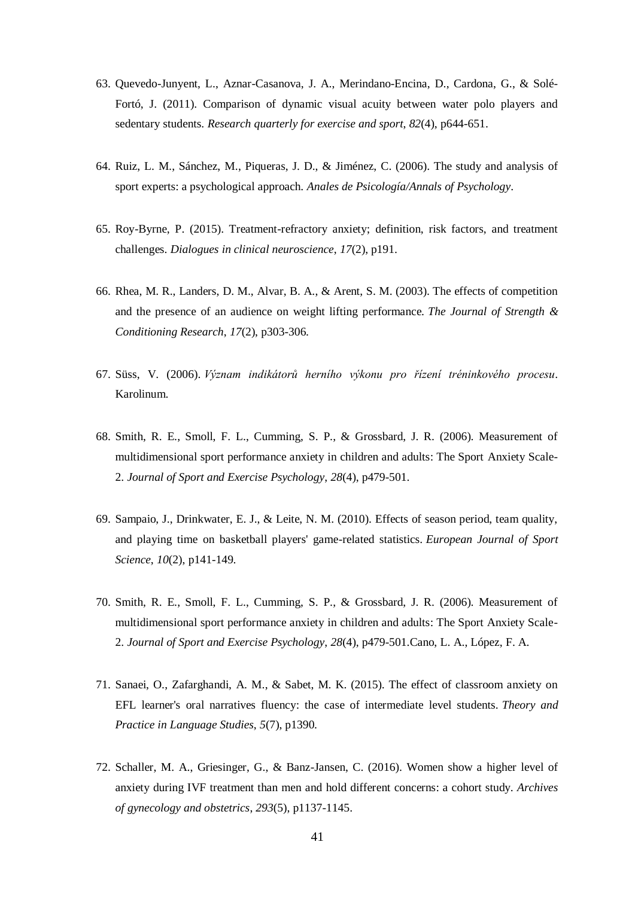- 63. Quevedo-Junyent, L., Aznar-Casanova, J. A., Merindano-Encina, D., Cardona, G., & Solé-Fortó, J. (2011). Comparison of dynamic visual acuity between water polo players and sedentary students. *Research quarterly for exercise and sport*, *82*(4), p644-651.
- 64. Ruiz, L. M., Sánchez, M., Piqueras, J. D., & Jiménez, C. (2006). The study and analysis of sport experts: a psychological approach. *Anales de Psicología/Annals of Psychology*.
- 65. Roy-Byrne, P. (2015). Treatment-refractory anxiety; definition, risk factors, and treatment challenges. *Dialogues in clinical neuroscience*, *17*(2), p191.
- 66. Rhea, M. R., Landers, D. M., Alvar, B. A., & Arent, S. M. (2003). The effects of competition and the presence of an audience on weight lifting performance. *The Journal of Strength & Conditioning Research*, *17*(2), p303-306.
- 67. Süss, V. (2006). *Význam indikátorů herního výkonu pro řízení tréninkového procesu*. Karolinum.
- 68. Smith, R. E., Smoll, F. L., Cumming, S. P., & Grossbard, J. R. (2006). Measurement of multidimensional sport performance anxiety in children and adults: The Sport Anxiety Scale-2. *Journal of Sport and Exercise Psychology*, *28*(4), p479-501.
- 69. Sampaio, J., Drinkwater, E. J., & Leite, N. M. (2010). Effects of season period, team quality, and playing time on basketball players' game-related statistics. *European Journal of Sport Science*, *10*(2), p141-149.
- 70. Smith, R. E., Smoll, F. L., Cumming, S. P., & Grossbard, J. R. (2006). Measurement of multidimensional sport performance anxiety in children and adults: The Sport Anxiety Scale-2. *Journal of Sport and Exercise Psychology*, *28*(4), p479-501.Cano, L. A., López, F. A.
- 71. Sanaei, O., Zafarghandi, A. M., & Sabet, M. K. (2015). The effect of classroom anxiety on EFL learner's oral narratives fluency: the case of intermediate level students. *Theory and Practice in Language Studies*, *5*(7), p1390.
- 72. Schaller, M. A., Griesinger, G., & Banz-Jansen, C. (2016). Women show a higher level of anxiety during IVF treatment than men and hold different concerns: a cohort study. *Archives of gynecology and obstetrics*, *293*(5), p1137-1145.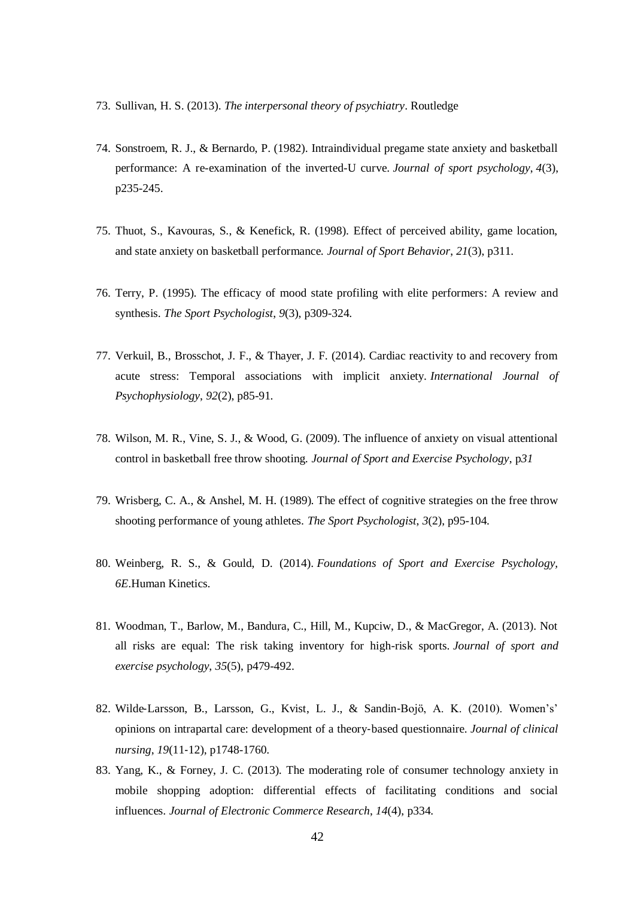- 73. Sullivan, H. S. (2013). *The interpersonal theory of psychiatry*. Routledge
- 74. Sonstroem, R. J., & Bernardo, P. (1982). Intraindividual pregame state anxiety and basketball performance: A re-examination of the inverted-U curve. *Journal of sport psychology*, *4*(3), p235-245.
- 75. Thuot, S., Kavouras, S., & Kenefick, R. (1998). Effect of perceived ability, game location, and state anxiety on basketball performance. *Journal of Sport Behavior*, *21*(3), p311.
- 76. Terry, P. (1995). The efficacy of mood state profiling with elite performers: A review and synthesis. *The Sport Psychologist*, *9*(3), p309-324.
- 77. Verkuil, B., Brosschot, J. F., & Thayer, J. F. (2014). Cardiac reactivity to and recovery from acute stress: Temporal associations with implicit anxiety. *International Journal of Psychophysiology*, *92*(2), p85-91.
- 78. Wilson, M. R., Vine, S. J., & Wood, G. (2009). The influence of anxiety on visual attentional control in basketball free throw shooting. *Journal of Sport and Exercise Psychology*, p*31*
- 79. Wrisberg, C. A., & Anshel, M. H. (1989). The effect of cognitive strategies on the free throw shooting performance of young athletes. *The Sport Psychologist*, *3*(2), p95-104.
- 80. Weinberg, R. S., & Gould, D. (2014). *Foundations of Sport and Exercise Psychology, 6E*.Human Kinetics.
- 81. Woodman, T., Barlow, M., Bandura, C., Hill, M., Kupciw, D., & MacGregor, A. (2013). Not all risks are equal: The risk taking inventory for high-risk sports. *Journal of sport and exercise psychology*, *35*(5), p479-492.
- 82. Wilde‐Larsson, B., Larsson, G., Kvist, L. J., & Sandin‐Bojö, A. K. (2010). Women's' opinions on intrapartal care: development of a theory‐based questionnaire. *Journal of clinical nursing*, *19*(11‐12), p1748-1760.
- 83. Yang, K., & Forney, J. C. (2013). The moderating role of consumer technology anxiety in mobile shopping adoption: differential effects of facilitating conditions and social influences. *Journal of Electronic Commerce Research*, *14*(4), p334.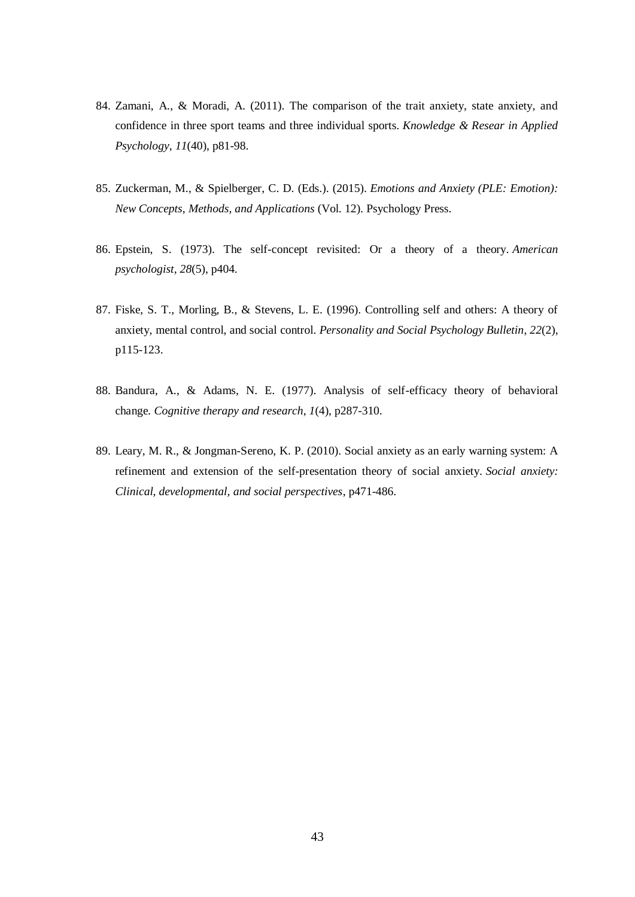- 84. Zamani, A., & Moradi, A. (2011). The comparison of the trait anxiety, state anxiety, and confidence in three sport teams and three individual sports. *Knowledge & Resear in Applied Psychology*, *11*(40), p81-98.
- 85. Zuckerman, M., & Spielberger, C. D. (Eds.). (2015). *Emotions and Anxiety (PLE: Emotion): New Concepts, Methods, and Applications* (Vol. 12). Psychology Press.
- 86. Epstein, S. (1973). The self-concept revisited: Or a theory of a theory. *American psychologist*, *28*(5), p404.
- 87. Fiske, S. T., Morling, B., & Stevens, L. E. (1996). Controlling self and others: A theory of anxiety, mental control, and social control. *Personality and Social Psychology Bulletin*, *22*(2), p115-123.
- 88. Bandura, A., & Adams, N. E. (1977). Analysis of self-efficacy theory of behavioral change. *Cognitive therapy and research*, *1*(4), p287-310.
- 89. Leary, M. R., & Jongman-Sereno, K. P. (2010). Social anxiety as an early warning system: A refinement and extension of the self-presentation theory of social anxiety. *Social anxiety: Clinical, developmental, and social perspectives*, p471-486.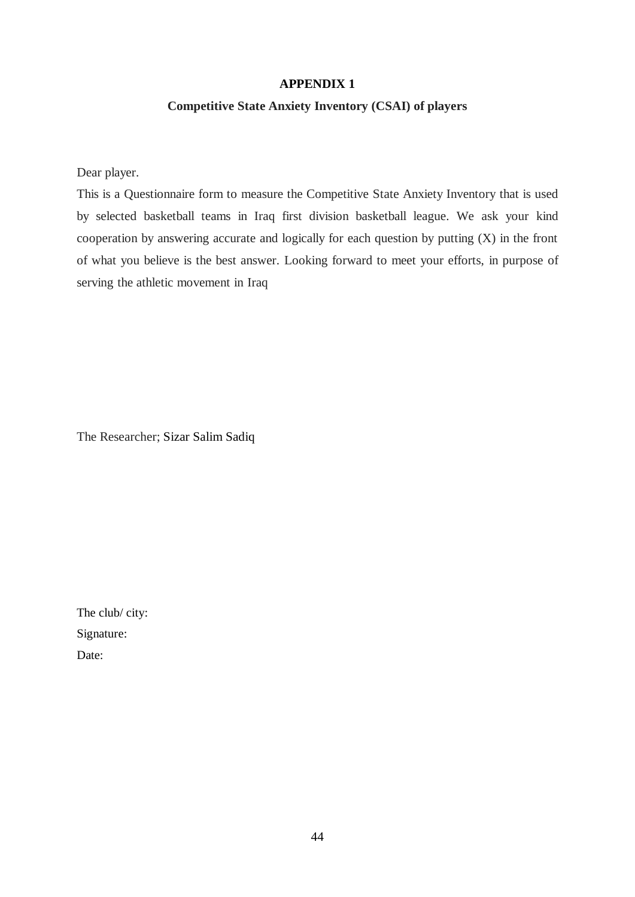# **APPENDIX 1**

# **Competitive State Anxiety Inventory (CSAI) of players**

Dear player.

This is a Questionnaire form to measure the Competitive State Anxiety Inventory that is used by selected basketball teams in Iraq first division basketball league. We ask your kind cooperation by answering accurate and logically for each question by putting (X) in the front of what you believe is the best answer. Looking forward to meet your efforts, in purpose of serving the athletic movement in Iraq

The Researcher; Sizar Salim Sadiq

The club/ city: Signature: Date: